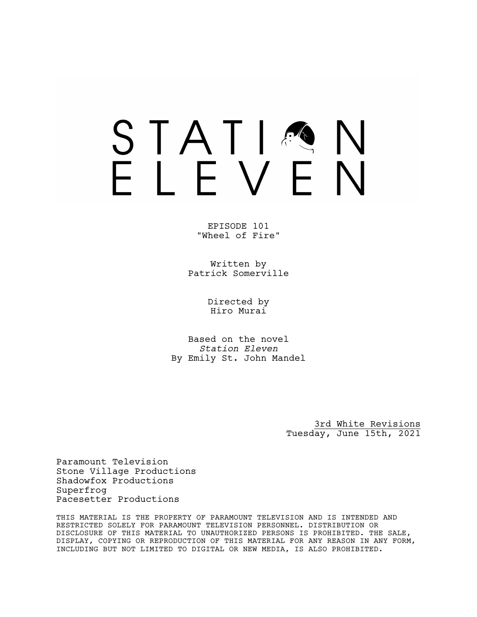# STATIA FIFVFN

EPISODE 101 "Wheel of Fire"

Written by Patrick Somerville

> Directed by Hiro Murai

Based on the novel *Station Eleven* By Emily St. John Mandel

> 3rd White Revisions Tuesday, June 15th, 2021

Paramount Television Stone Village Productions Shadowfox Productions Superfrog Pacesetter Productions

THIS MATERIAL IS THE PROPERTY OF PARAMOUNT TELEVISION AND IS INTENDED AND RESTRICTED SOLELY FOR PARAMOUNT TELEVISION PERSONNEL. DISTRIBUTION OR DISCLOSURE OF THIS MATERIAL TO UNAUTHORIZED PERSONS IS PROHIBITED. THE SALE, DISPLAY, COPYING OR REPRODUCTION OF THIS MATERIAL FOR ANY REASON IN ANY FORM, INCLUDING BUT NOT LIMITED TO DIGITAL OR NEW MEDIA, IS ALSO PROHIBITED.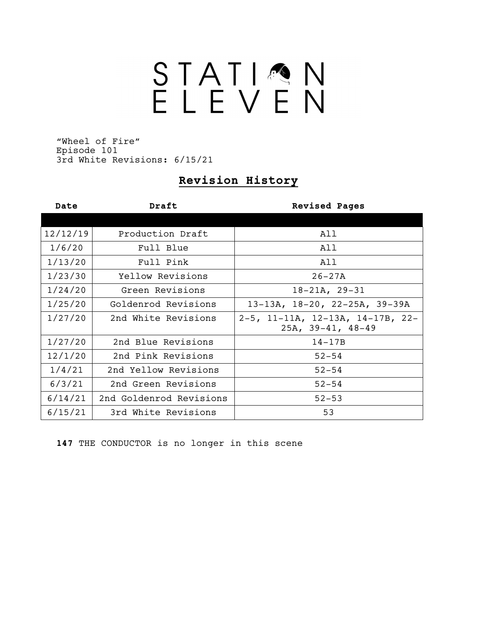# STATION<br>ELEVEN

"Wheel of Fire" Episode 101 3rd White Revisions: 6/15/21

# **Revision History**

| Date     | Draft                   | <b>Revised Pages</b>                                    |
|----------|-------------------------|---------------------------------------------------------|
|          |                         |                                                         |
| 12/12/19 | Production Draft        | All                                                     |
| 1/6/20   | Full Blue               | All                                                     |
| 1/13/20  | Full Pink               | All                                                     |
| 1/23/30  | Yellow Revisions        | $26 - 27A$                                              |
| 1/24/20  | Green Revisions         | $18-21A, 29-31$                                         |
| 1/25/20  | Goldenrod Revisions     | 13-13A, 18-20, 22-25A, 39-39A                           |
| 1/27/20  | 2nd White Revisions     | 2-5, 11-11A, 12-13A, 14-17B, 22-<br>$25A, 39-41, 48-49$ |
| 1/27/20  | 2nd Blue Revisions      | $14-17B$                                                |
| 12/1/20  | 2nd Pink Revisions      | $52 - 54$                                               |
| 1/4/21   | 2nd Yellow Revisions    | $52 - 54$                                               |
| 6/3/21   | 2nd Green Revisions     | $52 - 54$                                               |
| 6/14/21  | 2nd Goldenrod Revisions | $52 - 53$                                               |
| 6/15/21  | 3rd White Revisions     | 53                                                      |

**147** THE CONDUCTOR is no longer in this scene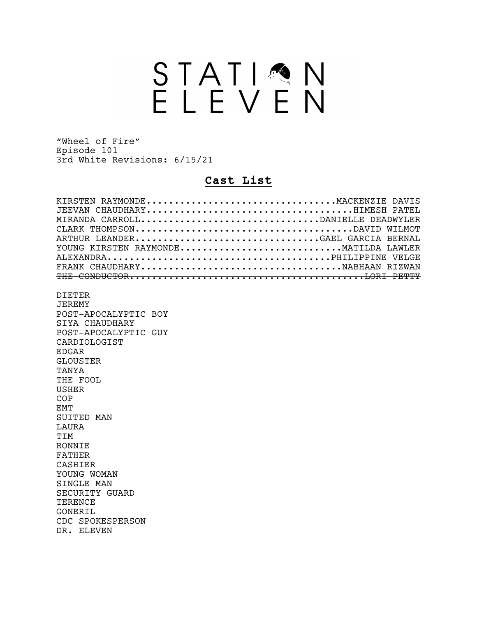# STATION<br>ELEVEN

"Wheel of Fire" Episode 101 3rd White Revisions: 6/15/21

# **Cast List**

| KIRSTEN RAYMONDEMACKENZIE DAVIS      |  |
|--------------------------------------|--|
| JEEVAN CHAUDHARYHIMESH PATEL         |  |
| MIRANDA CARROLLDANIELLE DEADWYLER    |  |
|                                      |  |
| ARTHUR LEANDERGAEL GARCIA BERNAL     |  |
| YOUNG KIRSTEN RAYMONDEMATILDA LAWLER |  |
|                                      |  |
|                                      |  |
|                                      |  |
|                                      |  |
| <b>DIETER</b>                        |  |
| <b>JEREMY</b>                        |  |
| POST-APOCALYPTIC BOY                 |  |
| SIYA CHAUDHARY                       |  |
| POST-APOCALYPTIC GUY                 |  |
| CARDIOLOGIST                         |  |
| <b>EDGAR</b>                         |  |
| <b>GLOUSTER</b>                      |  |
| TANYA                                |  |
| THE FOOL                             |  |
| <b>USHER</b>                         |  |
| COP                                  |  |
| <b>EMT</b>                           |  |
| SUITED MAN                           |  |
| <b>TAURA</b>                         |  |
| TIM                                  |  |
| <b>RONNTE</b>                        |  |
| <b>FATHER</b>                        |  |
| CASHIER                              |  |
| YOUNG WOMAN                          |  |
| STNGLE MAN                           |  |
| SECURITY GUARD                       |  |
| TERENCE                              |  |
| GONERIL                              |  |
|                                      |  |
| CDC SPOKESPERSON                     |  |
| DR. ELEVEN                           |  |
|                                      |  |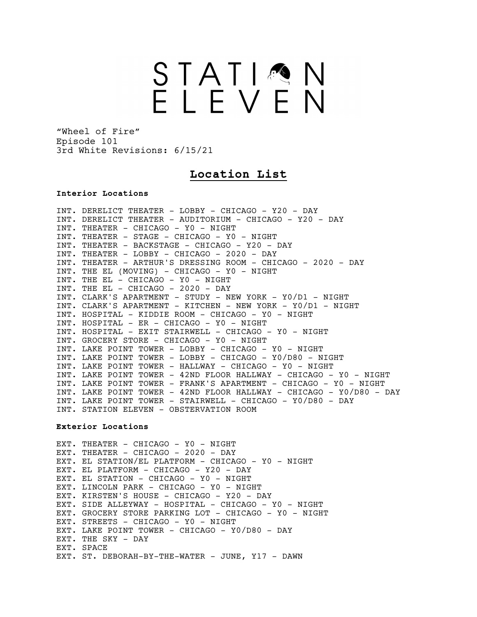# STATIMN<br>ELEVEN

"Wheel of Fire" Episode 101 3rd White Revisions: 6/15/21

# **Location List**

#### **Interior Locations**

INT. DERELICT THEATER - LOBBY - CHICAGO - Y20 - DAY INT. DERELICT THEATER - AUDITORIUM - CHICAGO - Y20 - DAY INT. THEATER - CHICAGO - Y0 - NIGHT INT. THEATER - STAGE - CHICAGO - Y0 - NIGHT INT. THEATER - BACKSTAGE - CHICAGO - Y20 - DAY INT. THEATER - LOBBY - CHICAGO - 2020 - DAY INT. THEATER - ARTHUR'S DRESSING ROOM - CHICAGO - 2020 - DAY INT. THE EL (MOVING) - CHICAGO - Y0 - NIGHT INT. THE EL - CHICAGO - Y0 - NIGHT INT. THE EL - CHICAGO - 2020 - DAY INT. CLARK'S APARTMENT - STUDY - NEW YORK - Y0/D1 - NIGHT INT. CLARK'S APARTMENT - KITCHEN - NEW YORK - Y0/D1 - NIGHT INT. HOSPITAL - KIDDIE ROOM - CHICAGO - Y0 - NIGHT INT. HOSPITAL - ER - CHICAGO - Y0 - NIGHT INT. HOSPITAL - EXIT STAIRWELL - CHICAGO - Y0 - NIGHT INT. GROCERY STORE - CHICAGO - Y0 - NIGHT INT. LAKE POINT TOWER - LOBBY - CHICAGO - Y0 - NIGHT INT. LAKE POINT TOWER - LOBBY - CHICAGO - Y0/D80 - NIGHT INT. LAKE POINT TOWER - HALLWAY - CHICAGO - Y0 - NIGHT INT. LAKE POINT TOWER - 42ND FLOOR HALLWAY - CHICAGO - Y0 - NIGHT INT. LAKE POINT TOWER - FRANK'S APARTMENT - CHICAGO - Y0 - NIGHT INT. LAKE POINT TOWER - 42ND FLOOR HALLWAY - CHICAGO - Y0/D80 - DAY INT. LAKE POINT TOWER - STAIRWELL - CHICAGO - Y0/D80 - DAY INT. STATION ELEVEN - OBSTERVATION ROOM

#### **Exterior Locations**

EXT. THEATER - CHICAGO - Y0 - NIGHT EXT. THEATER - CHICAGO - 2020 - DAY EXT. EL STATION/EL PLATFORM - CHICAGO - Y0 - NIGHT EXT. EL PLATFORM - CHICAGO - Y20 - DAY EXT. EL STATION - CHICAGO - Y0 - NIGHT EXT. LINCOLN PARK - CHICAGO - Y0 - NIGHT EXT. KIRSTEN'S HOUSE - CHICAGO - Y20 - DAY EXT. SIDE ALLEYWAY - HOSPITAL - CHICAGO - Y0 - NIGHT EXT. GROCERY STORE PARKING LOT - CHICAGO - Y0 - NIGHT EXT. STREETS - CHICAGO - YO - NIGHT EXT. LAKE POINT TOWER - CHICAGO - Y0/D80 - DAY EXT. THE SKY - DAY EXT. SPACE EXT. ST. DEBORAH-BY-THE-WATER - JUNE, Y17 - DAWN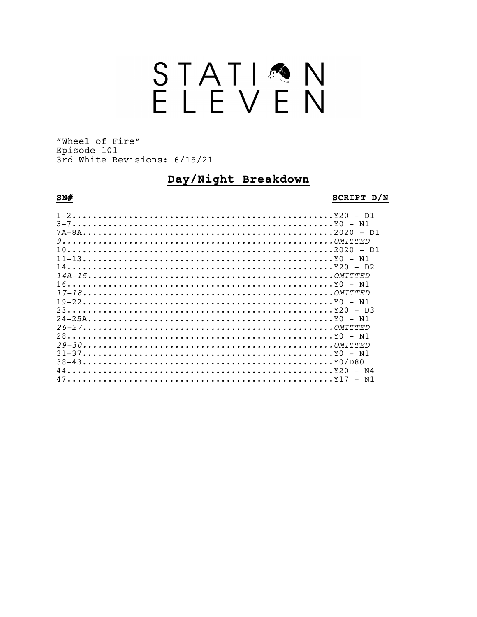# STATION<br>ELEVEN

"Wheel of Fire" Episode 101 3rd White Revisions: 6/15/21

# Day/Night Breakdown

# $SN#$

#### SCRIPT D/N

| $1-2$   |  |
|---------|--|
| $3-7$   |  |
|         |  |
|         |  |
|         |  |
| $11-13$ |  |
|         |  |
|         |  |
|         |  |
|         |  |
| $19-22$ |  |
|         |  |
|         |  |
|         |  |
|         |  |
|         |  |
| $31-37$ |  |
|         |  |
|         |  |
|         |  |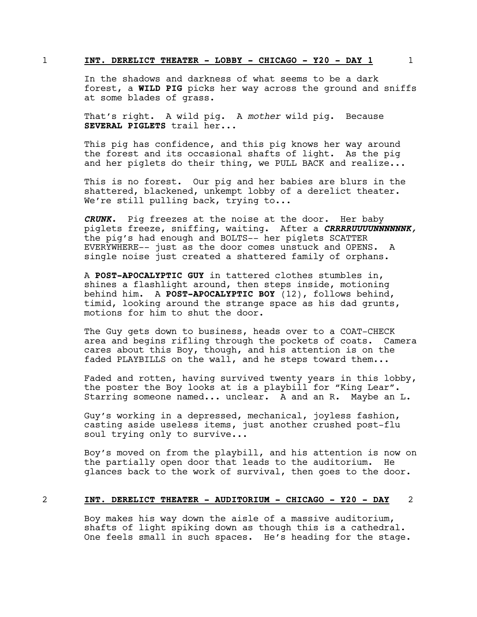#### 1 **INT. DERELICT THEATER - LOBBY - CHICAGO - Y20 - DAY 1** 1

In the shadows and darkness of what seems to be a dark forest, a **WILD PIG** picks her way across the ground and sniffs at some blades of grass.

That's right. A wild pig. A *mother* wild pig. Because **SEVERAL PIGLETS** trail her...

This pig has confidence, and this pig knows her way around the forest and its occasional shafts of light. As the pig and her piglets do their thing, we PULL BACK and realize...

This is no forest. Our pig and her babies are blurs in the shattered, blackened, unkempt lobby of a derelict theater. We're still pulling back, trying to...

*CRUNK.* Pig freezes at the noise at the door. Her baby piglets freeze, sniffing, waiting. After a *CRRRRUUUUNNNNNNK,* the pig's had enough and BOLTS-- her piglets SCATTER EVERYWHERE-- just as the door comes unstuck and OPENS. A single noise just created a shattered family of orphans.

A **POST-APOCALYPTIC GUY** in tattered clothes stumbles in, shines a flashlight around, then steps inside, motioning behind him. A **POST-APOCALYPTIC BOY** (12), follows behind, timid, looking around the strange space as his dad grunts, motions for him to shut the door.

The Guy gets down to business, heads over to a COAT-CHECK area and begins rifling through the pockets of coats. Camera cares about this Boy, though, and his attention is on the faded PLAYBILLS on the wall, and he steps toward them...

Faded and rotten, having survived twenty years in this lobby, the poster the Boy looks at is a playbill for "King Lear". Starring someone named... unclear. A and an R. Maybe an L.

Guy's working in a depressed, mechanical, joyless fashion, casting aside useless items, just another crushed post-flu soul trying only to survive...

Boy's moved on from the playbill, and his attention is now on the partially open door that leads to the auditorium. He glances back to the work of survival, then goes to the door.

#### 2 **INT. DERELICT THEATER - AUDITORIUM - CHICAGO - Y20 - DAY** 2

Boy makes his way down the aisle of a massive auditorium, shafts of light spiking down as though this is a cathedral. One feels small in such spaces. He's heading for the stage.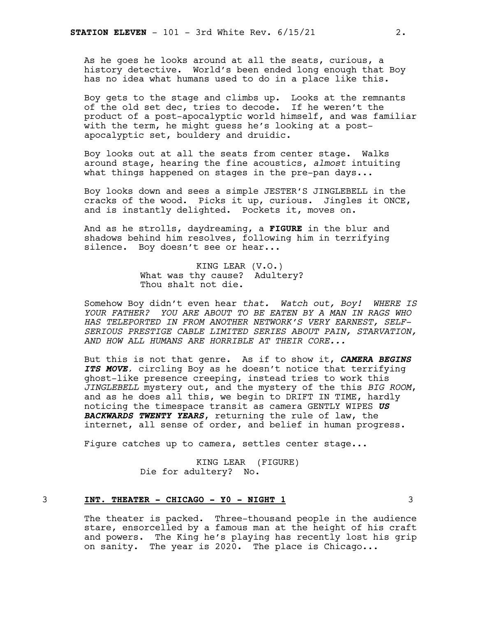As he goes he looks around at all the seats, curious, a history detective. World's been ended long enough that Boy has no idea what humans used to do in a place like this.

Boy gets to the stage and climbs up. Looks at the remnants of the old set dec, tries to decode. If he weren't the product of a post-apocalyptic world himself, and was familiar with the term, he might guess he's looking at a postapocalyptic set, bouldery and druidic.

Boy looks out at all the seats from center stage. Walks around stage, hearing the fine acoustics, *almost* intuiting what things happened on stages in the pre-pan days...

Boy looks down and sees a simple JESTER'S JINGLEBELL in the cracks of the wood. Picks it up, curious. Jingles it ONCE, and is instantly delighted. Pockets it, moves on.

And as he strolls, daydreaming, a **FIGURE** in the blur and shadows behind him resolves, following him in terrifying silence. Boy doesn't see or hear...

> KING LEAR (V.O.) What was thy cause? Adultery? Thou shalt not die.

Somehow Boy didn't even hear *that. Watch out, Boy! WHERE IS YOUR FATHER? YOU ARE ABOUT TO BE EATEN BY A MAN IN RAGS WHO HAS TELEPORTED IN FROM ANOTHER NETWORK'S VERY EARNEST, SELF-SERIOUS PRESTIGE CABLE LIMITED SERIES ABOUT PAIN, STARVATION, AND HOW ALL HUMANS ARE HORRIBLE AT THEIR CORE...*

But this is not that genre. As if to show it, *CAMERA BEGINS ITS MOVE,* circling Boy as he doesn't notice that terrifying ghost-like presence creeping, instead tries to work this *JINGLEBELL* mystery out, and the mystery of the this *BIG ROOM*, and as he does all this, we begin to DRIFT IN TIME, hardly noticing the timespace transit as camera GENTLY WIPES *US BACKWARDS TWENTY YEARS*, returning the rule of law, the internet, all sense of order, and belief in human progress.

Figure catches up to camera, settles center stage...

KING LEAR (FIGURE) Die for adultery? No.

#### 3 **INT. THEATER - CHICAGO - Y0 - NIGHT 1** 3

The theater is packed. Three-thousand people in the audience stare, ensorcelled by a famous man at the height of his craft and powers. The King he's playing has recently lost his grip on sanity. The year is 2020. The place is Chicago...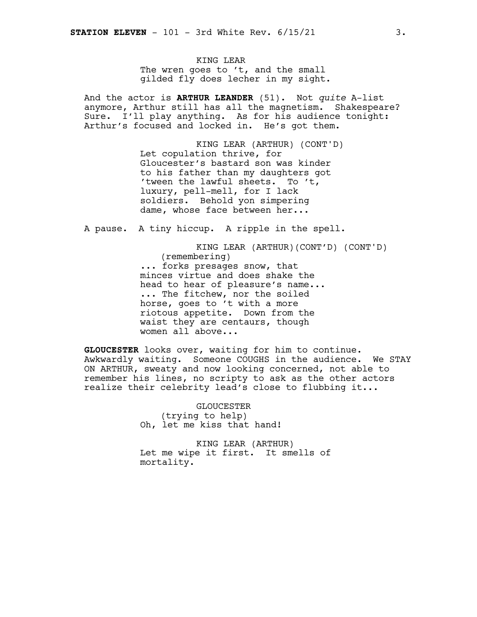KING LEAR The wren goes to 't, and the small gilded fly does lecher in my sight.

And the actor is **ARTHUR LEANDER** (51). Not *quite* A-list anymore, Arthur still has all the magnetism. Shakespeare? Sure. I'll play anything. As for his audience tonight: Arthur's focused and locked in. He's got them.

> KING LEAR (ARTHUR) (CONT'D) Let copulation thrive, for Gloucester's bastard son was kinder to his father than my daughters got 'tween the lawful sheets. To 't, luxury, pell-mell, for I lack soldiers. Behold yon simpering dame, whose face between her...

A pause. A tiny hiccup. A ripple in the spell.

KING LEAR (ARTHUR)(CONT'D) (CONT'D) (remembering) ... forks presages snow, that minces virtue and does shake the head to hear of pleasure's name... ... The fitchew, nor the soiled horse, goes to 't with a more riotous appetite. Down from the waist they are centaurs, though women all above...

**GLOUCESTER** looks over, waiting for him to continue. Awkwardly waiting. Someone COUGHS in the audience. We STAY ON ARTHUR, sweaty and now looking concerned, not able to remember his lines, no scripty to ask as the other actors realize their celebrity lead's close to flubbing it...

> GLOUCESTER (trying to help) Oh, let me kiss that hand!

KING LEAR (ARTHUR) Let me wipe it first. It smells of mortality.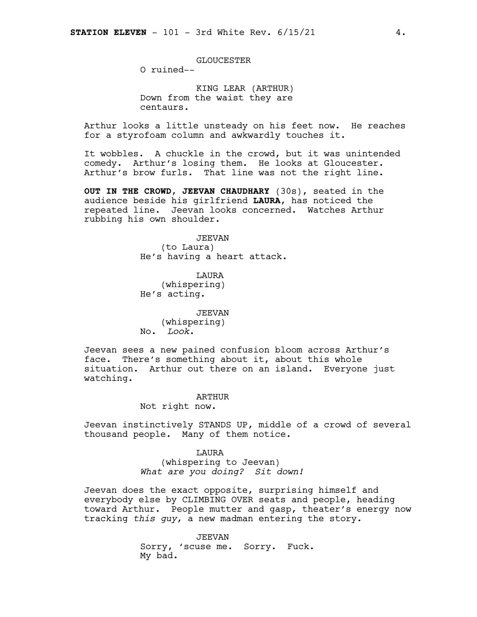GLOUCESTER

O ruined--

KING LEAR (ARTHUR) Down from the waist they are centaurs.

Arthur looks a little unsteady on his feet now. He reaches for a styrofoam column and awkwardly touches it.

It wobbles. A chuckle in the crowd, but it was unintended comedy. Arthur's losing them. He looks at Gloucester. Arthur's brow furls. That line was not the right line.

**OUT IN THE CROWD**, **JEEVAN CHAUDHARY** (30s), seated in the audience beside his girlfriend **LAURA**, has noticed the repeated line. Jeevan looks concerned. Watches Arthur rubbing his own shoulder.

> JEEVAN (to Laura) He's having a heart attack.

LAURA (whispering) He's acting.

JEEVAN (whispering) No. *Look*.

Jeevan sees a new pained confusion bloom across Arthur's face. There's something about it, about this whole situation. Arthur out there on an island. Everyone just watching.

> ARTHUR Not right now.

Jeevan instinctively STANDS UP, middle of a crowd of several thousand people. Many of them notice.

> **T.AURA** (whispering to Jeevan) *What are you doing? Sit down!*

Jeevan does the exact opposite, surprising himself and everybody else by CLIMBING OVER seats and people, heading toward Arthur. People mutter and gasp, theater's energy now tracking *this guy*, a new madman entering the story.

> JEEVAN Sorry, 'scuse me. Sorry. Fuck. My bad.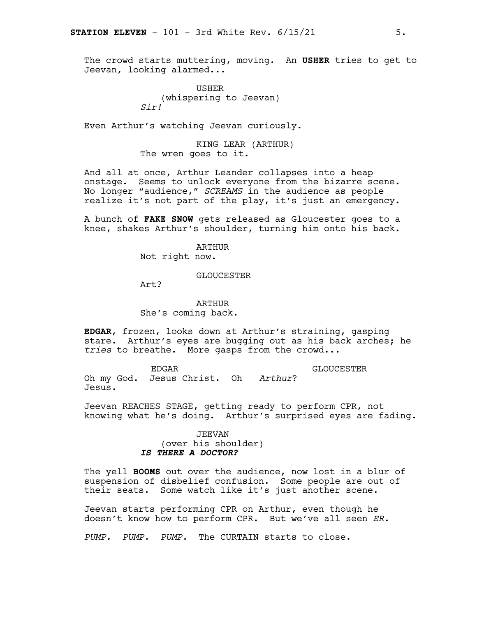The crowd starts muttering, moving. An **USHER** tries to get to Jeevan, looking alarmed...

> USHER (whispering to Jeevan) *Sir!*

Even Arthur's watching Jeevan curiously.

KING LEAR (ARTHUR) The wren goes to it.

And all at once, Arthur Leander collapses into a heap onstage. Seems to unlock everyone from the bizarre scene. No longer "audience," *SCREAMS* in the audience as people realize it's not part of the play, it's just an emergency.

A bunch of **FAKE SNOW** gets released as Gloucester goes to a knee, shakes Arthur's shoulder, turning him onto his back.

> ARTHUR Not right now.

> > GLOUCESTER

Art?

ARTHUR She's coming back.

**EDGAR**, frozen, looks down at Arthur's straining, gasping stare. Arthur's eyes are bugging out as his back arches; he *tries* to breathe. More gasps from the crowd...

EDGAR Oh my God. Jesus Christ. Oh *Arthur*? Jesus. GLOUCESTER

Jeevan REACHES STAGE, getting ready to perform CPR, not knowing what he's doing. Arthur's surprised eyes are fading.

# JEEVAN (over his shoulder) *IS THERE A DOCTOR?*

The yell **BOOMS** out over the audience, now lost in a blur of suspension of disbelief confusion. Some people are out of their seats. Some watch like it's just another scene.

Jeevan starts performing CPR on Arthur, even though he doesn't know how to perform CPR. But we've all seen *ER.*

*PUMP. PUMP. PUMP.* The CURTAIN starts to close.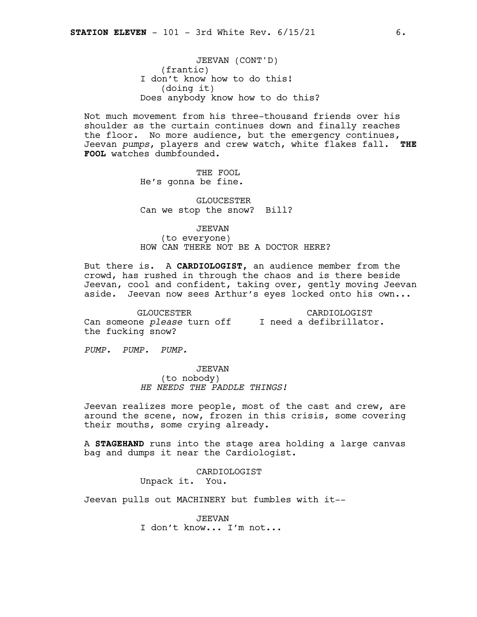JEEVAN (CONT'D) (frantic) I don't know how to do this! (doing it) Does anybody know how to do this?

Not much movement from his three-thousand friends over his shoulder as the curtain continues down and finally reaches the floor. No more audience, but the emergency continues, Jeevan *pumps*, players and crew watch, white flakes fall. **THE FOOL** watches dumbfounded.

> THE FOOL He's gonna be fine.

GLOUCESTER Can we stop the snow? Bill?

JEEVAN

(to everyone) HOW CAN THERE NOT BE A DOCTOR HERE?

But there is. A **CARDIOLOGIST,** an audience member from the crowd, has rushed in through the chaos and is there beside Jeevan, cool and confident, taking over, gently moving Jeevan aside. Jeevan now sees Arthur's eyes locked onto his own...

GLOUCESTER Can someone *please* turn off I need a defibrillator. the fucking snow? CARDIOLOGIST

*PUMP. PUMP. PUMP.*

JEEVAN (to nobody) *HE NEEDS THE PADDLE THINGS!*

Jeevan realizes more people, most of the cast and crew, are around the scene, now, frozen in this crisis, some covering their mouths, some crying already.

A **STAGEHAND** runs into the stage area holding a large canvas bag and dumps it near the Cardiologist.

> CARDIOLOGIST Unpack it. You.

Jeevan pulls out MACHINERY but fumbles with it--

JEEVAN I don't know... I'm not...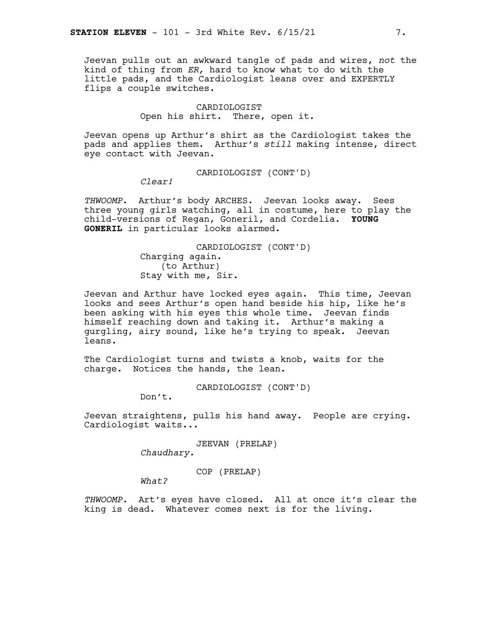Jeevan pulls out an awkward tangle of pads and wires, *not* the kind of thing from *ER,* hard to know what to do with the little pads, and the Cardiologist leans over and EXPERTLY flips a couple switches.

#### CARDIOLOGIST Open his shirt. There, open it.

Jeevan opens up Arthur's shirt as the Cardiologist takes the pads and applies them. Arthur's *still* making intense, direct eye contact with Jeevan.

CARDIOLOGIST (CONT'D)

*Clear!*

*THWOOMP*. Arthur's body ARCHES. Jeevan looks away. Sees three young girls watching, all in costume, here to play the child-versions of Regan, Goneril, and Cordelia. **YOUNG GONERIL** in particular looks alarmed.

> CARDIOLOGIST (CONT'D) Charging again. (to Arthur) Stay with me, Sir.

Jeevan and Arthur have locked eyes again. This time, Jeevan looks and sees Arthur's open hand beside his hip, like he's been asking with his eyes this whole time. Jeevan finds himself reaching down and taking it. Arthur's making a gurgling, airy sound, like he's trying to speak. Jeevan leans.

The Cardiologist turns and twists a knob, waits for the charge. Notices the hands, the lean.

CARDIOLOGIST (CONT'D)

Don't.

Jeevan straightens, pulls his hand away. People are crying. Cardiologist waits...

> JEEVAN (PRELAP) *Chaudhary.*

> > COP (PRELAP)

*What?*

*THWOOMP.* Art's eyes have closed. All at once it's clear the king is dead. Whatever comes next is for the living.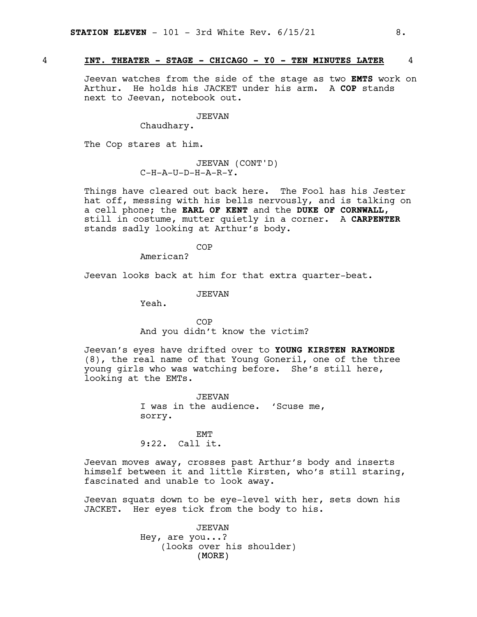#### 4 **INT. THEATER - STAGE - CHICAGO - Y0 - TEN MINUTES LATER** 4

Jeevan watches from the side of the stage as two **EMTS** work on Arthur. He holds his JACKET under his arm. A **COP** stands next to Jeevan, notebook out.

#### JEEVAN

Chaudhary.

The Cop stares at him.

JEEVAN (CONT'D) C-H-A-U-D-H-A-R-Y.

Things have cleared out back here. The Fool has his Jester hat off, messing with his bells nervously, and is talking on a cell phone; the **EARL OF KENT** and the **DUKE OF CORNWALL**, still in costume, mutter quietly in a corner. A **CARPENTER** stands sadly looking at Arthur's body.

COP

American?

Jeevan looks back at him for that extra quarter-beat.

JEEVAN

Yeah.

COP And you didn't know the victim?

Jeevan's eyes have drifted over to **YOUNG KIRSTEN RAYMONDE** (8), the real name of that Young Goneril, one of the three young girls who was watching before. She's still here, looking at the EMTs.

> JEEVAN I was in the audience. 'Scuse me, sorry.

EMT 9:22. Call it.

Jeevan moves away, crosses past Arthur's body and inserts himself between it and little Kirsten, who's still staring, fascinated and unable to look away.

Jeevan squats down to be eye-level with her, sets down his JACKET. Her eyes tick from the body to his.

> (MORE) JEEVAN Hey, are you...? (looks over his shoulder)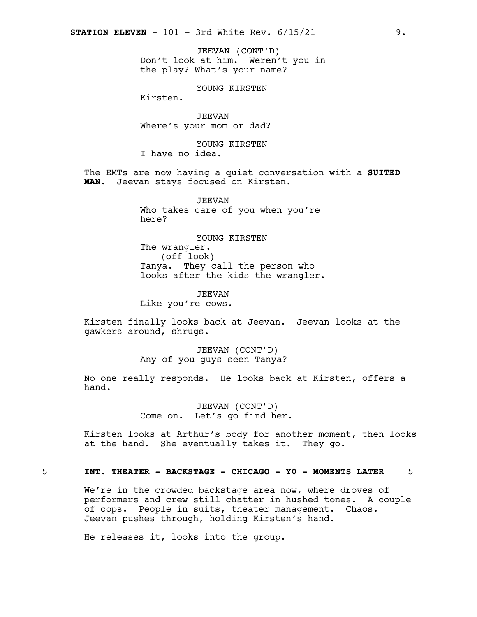JEEVAN (CONT'D) Don't look at him. Weren't you in the play? What's your name?

YOUNG KIRSTEN

Kirsten.

JEEVAN Where's your mom or dad?

YOUNG KIRSTEN I have no idea.

The EMTs are now having a quiet conversation with a **SUITED MAN**. Jeevan stays focused on Kirsten.

> JEEVAN Who takes care of you when you're here?

YOUNG KIRSTEN The wrangler. (off look) Tanya. They call the person who looks after the kids the wrangler.

JEEVAN Like you're cows.

Kirsten finally looks back at Jeevan. Jeevan looks at the gawkers around, shrugs.

> JEEVAN (CONT'D) Any of you guys seen Tanya?

No one really responds. He looks back at Kirsten, offers a hand.

> JEEVAN (CONT'D) Come on. Let's go find her.

Kirsten looks at Arthur's body for another moment, then looks at the hand. She eventually takes it. They go.

#### 5 **INT. THEATER - BACKSTAGE - CHICAGO - Y0 - MOMENTS LATER** 5

We're in the crowded backstage area now, where droves of performers and crew still chatter in hushed tones. A couple of cops. People in suits, theater management. Chaos. Jeevan pushes through, holding Kirsten's hand.

He releases it, looks into the group.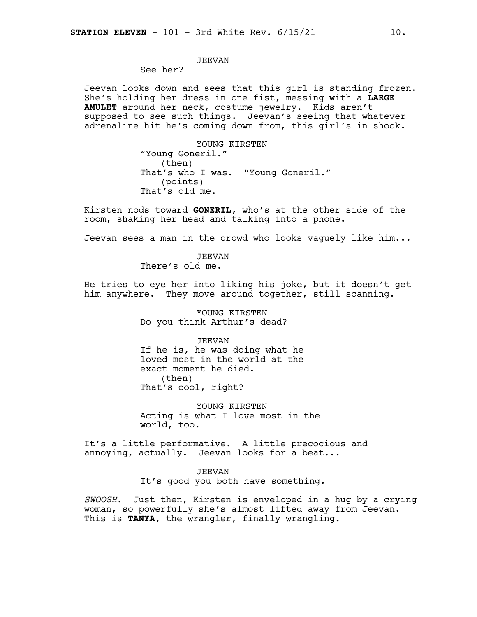# JEEVAN

See her?

Jeevan looks down and sees that this girl is standing frozen. She's holding her dress in one fist, messing with a **LARGE AMULET** around her neck, costume jewelry. Kids aren't supposed to see such things. Jeevan's seeing that whatever adrenaline hit he's coming down from, this girl's in shock.

> YOUNG KIRSTEN "Young Goneril." (then) That's who I was. "Young Goneril." (points) That's old me.

Kirsten nods toward **GONERIL**, who's at the other side of the room, shaking her head and talking into a phone.

Jeevan sees a man in the crowd who looks vaguely like him...

JEEVAN There's old me.

He tries to eye her into liking his joke, but it doesn't get him anywhere. They move around together, still scanning.

> YOUNG KIRSTEN Do you think Arthur's dead?

JEEVAN If he is, he was doing what he loved most in the world at the exact moment he died. (then) That's cool, right?

YOUNG KIRSTEN Acting is what I love most in the world, too.

It's a little performative. A little precocious and annoying, actually. Jeevan looks for a beat...

> JEEVAN It's good you both have something.

*SWOOSH*. Just then, Kirsten is enveloped in a hug by a crying woman, so powerfully she's almost lifted away from Jeevan. This is **TANYA,** the wrangler, finally wrangling.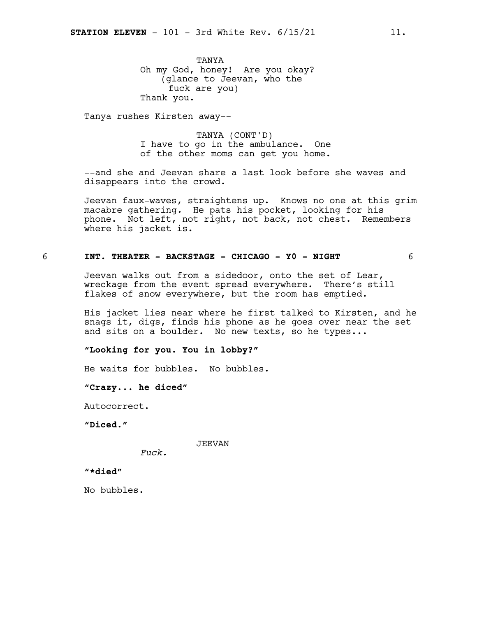TANYA Oh my God, honey! Are you okay? (glance to Jeevan, who the fuck are you) Thank you.

Tanya rushes Kirsten away--

TANYA (CONT'D) I have to go in the ambulance. One of the other moms can get you home.

--and she and Jeevan share a last look before she waves and disappears into the crowd.

Jeevan faux-waves, straightens up. Knows no one at this grim macabre gathering*.* He pats his pocket, looking for his phone. Not left, not right, not back, not chest. Remembers where his jacket is.

#### 6 **INT. THEATER - BACKSTAGE - CHICAGO - Y0 - NIGHT** 6

Jeevan walks out from a sidedoor, onto the set of Lear, wreckage from the event spread everywhere. There's still flakes of snow everywhere, but the room has emptied.

His jacket lies near where he first talked to Kirsten, and he snags it, digs, finds his phone as he goes over near the set and sits on a boulder. No new texts, so he types...

**"Looking for you. You in lobby?"**

He waits for bubbles. No bubbles.

**"Crazy... he diced"**

Autocorrect.

**"Diced."**

JEEVAN

*Fuck.*

**"\*died"**

No bubbles.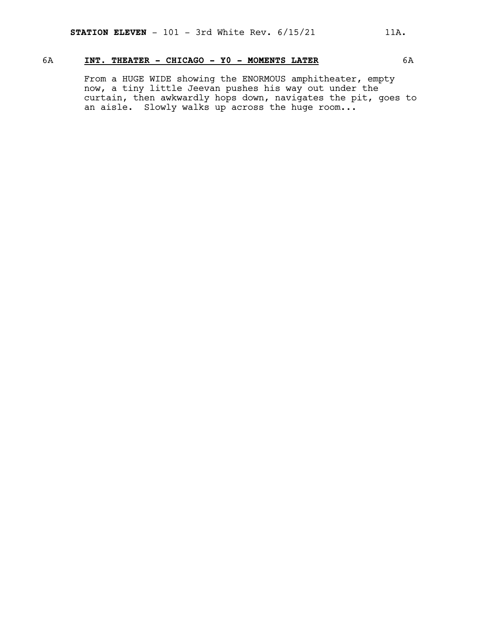# 6A **INT. THEATER - CHICAGO - Y0 - MOMENTS LATER** 6A

From a HUGE WIDE showing the ENORMOUS amphitheater, empty now, a tiny little Jeevan pushes his way out under the curtain, then awkwardly hops down, navigates the pit, goes to an aisle. Slowly walks up across the huge room...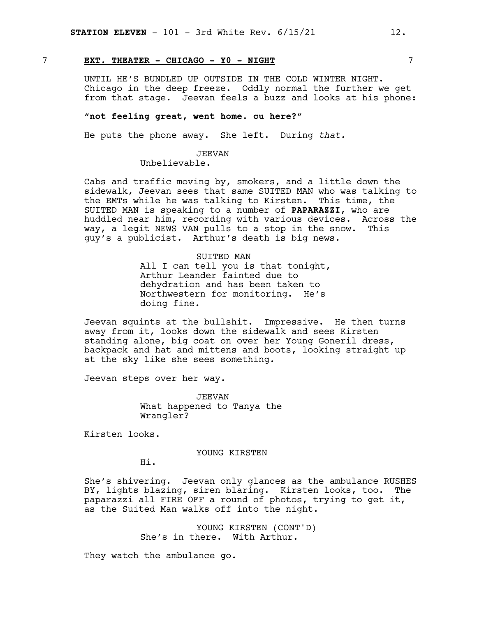# 7 **EXT. THEATER - CHICAGO - Y0 - NIGHT** 7

UNTIL HE'S BUNDLED UP OUTSIDE IN THE COLD WINTER NIGHT. Chicago in the deep freeze. Oddly normal the further we get from that stage. Jeevan feels a buzz and looks at his phone:

#### **"not feeling great, went home. cu here?"**

He puts the phone away. She left. During *that.*

#### JEEVAN

Unbelievable.

Cabs and traffic moving by, smokers, and a little down the sidewalk, Jeevan sees that same SUITED MAN who was talking to the EMTs while he was talking to Kirsten. This time, the SUITED MAN is speaking to a number of **PAPARAZZI**, who are huddled near him, recording with various devices. Across the way, a legit NEWS VAN pulls to a stop in the snow. This guy's a publicist. Arthur's death is big news.

#### SUITED MAN

All I can tell you is that tonight, Arthur Leander fainted due to dehydration and has been taken to Northwestern for monitoring. He's doing fine.

Jeevan squints at the bullshit. Impressive. He then turns away from it, looks down the sidewalk and sees Kirsten standing alone, big coat on over her Young Goneril dress, backpack and hat and mittens and boots, looking straight up at the sky like she sees something.

Jeevan steps over her way.

JEEVAN What happened to Tanya the Wrangler?

Kirsten looks.

#### YOUNG KIRSTEN

Hi.

She's shivering. Jeevan only glances as the ambulance RUSHES BY, lights blazing, siren blaring. Kirsten looks, too. The paparazzi all FIRE OFF a round of photos, trying to get it, as the Suited Man walks off into the night.

> YOUNG KIRSTEN (CONT'D) She's in there. With Arthur.

They watch the ambulance go.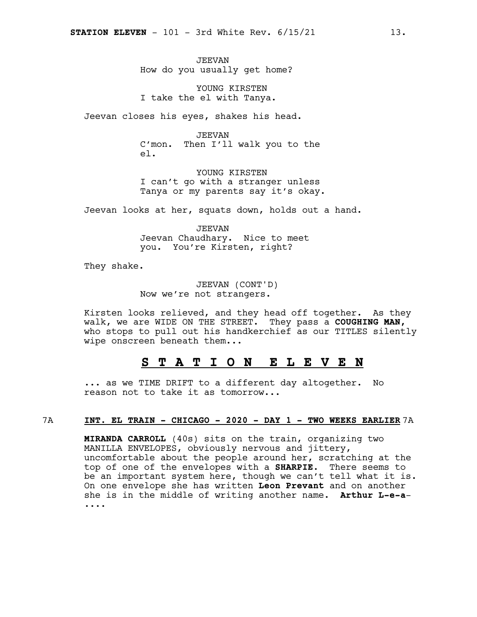JEEVAN How do you usually get home?

YOUNG KIRSTEN I take the el with Tanya.

Jeevan closes his eyes, shakes his head.

JEEVAN C'mon. Then I'll walk you to the el.

YOUNG KIRSTEN I can't go with a stranger unless Tanya or my parents say it's okay.

Jeevan looks at her, squats down, holds out a hand.

JEEVAN Jeevan Chaudhary. Nice to meet you. You're Kirsten, right?

They shake.

JEEVAN (CONT'D) Now we're not strangers.

Kirsten looks relieved, and they head off together. As they walk, we are WIDE ON THE STREET. They pass a **COUGHING MAN,** who stops to pull out his handkerchief as our TITLES silently wipe onscreen beneath them...

# **S T A T I O N E L E V E N**

... as we TIME DRIFT to a different day altogether. No reason not to take it as tomorrow...

#### 7A **INT. EL TRAIN - CHICAGO - 2020 - DAY 1 - TWO WEEKS EARLIER** 7A

**MIRANDA CARROLL** (40s) sits on the train, organizing two MANILLA ENVELOPES, obviously nervous and jittery, uncomfortable about the people around her, scratching at the top of one of the envelopes with a **SHARPIE**. There seems to be an important system here, though we can't tell what it is. On one envelope she has written **Leon Prevant** and on another she is in the middle of writing another name. **Arthur L-e-a**- ....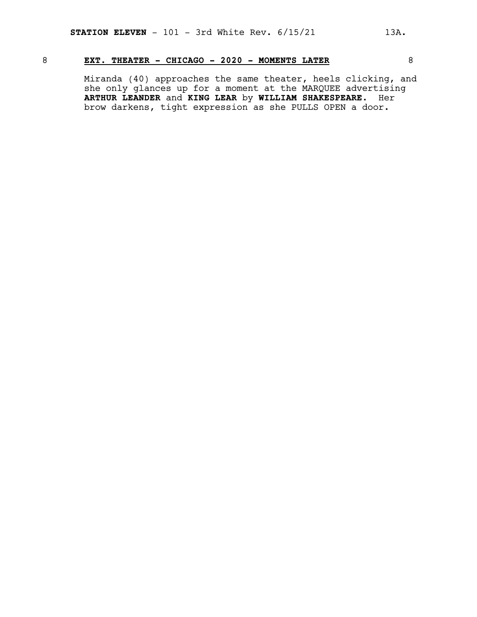# 8 **EXT. THEATER - CHICAGO - 2020 - MOMENTS LATER** 8

Miranda (40) approaches the same theater, heels clicking, and she only glances up for a moment at the MARQUEE advertising **ARTHUR LEANDER** and **KING LEAR** by **WILLIAM SHAKESPEARE**. Her brow darkens, tight expression as she PULLS OPEN a door.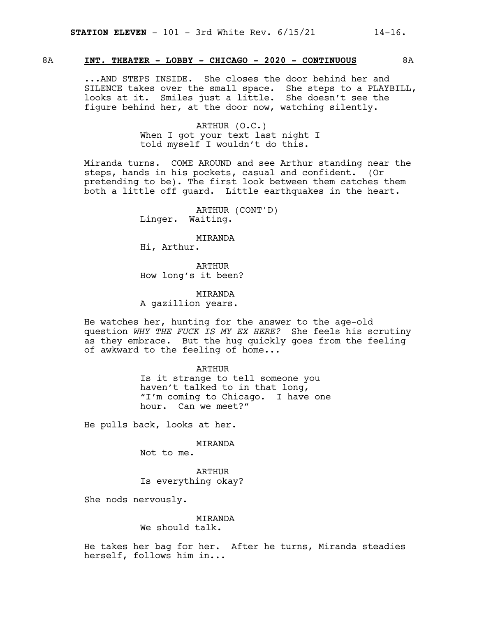# 8A **INT. THEATER - LOBBY - CHICAGO - 2020 - CONTINUOUS** 8A

...AND STEPS INSIDE. She closes the door behind her and SILENCE takes over the small space. She steps to a PLAYBILL, looks at it. Smiles just a little. She doesn't see the figure behind her, at the door now, watching silently.

> ARTHUR (O.C.) When I got your text last night I told myself I wouldn't do this.

Miranda turns. COME AROUND and see Arthur standing near the steps, hands in his pockets, casual and confident. (Or pretending to be). The first look between them catches them both a little off guard. Little earthquakes in the heart.

> ARTHUR (CONT'D) Linger. Waiting.

MIRANDA Hi, Arthur.

ARTHUR How long's it been?

MIRANDA A gazillion years.

He watches her, hunting for the answer to the age-old question *WHY THE FUCK IS MY EX HERE?* She feels his scrutiny as they embrace. But the hug quickly goes from the feeling of awkward to the feeling of home...

> ARTHUR Is it strange to tell someone you haven't talked to in that long, "I'm coming to Chicago. I have one hour. Can we meet?"

He pulls back, looks at her.

MIRANDA

Not to me.

ARTHUR Is everything okay?

She nods nervously.

#### MIRANDA We should talk.

He takes her bag for her. After he turns, Miranda steadies herself, follows him in...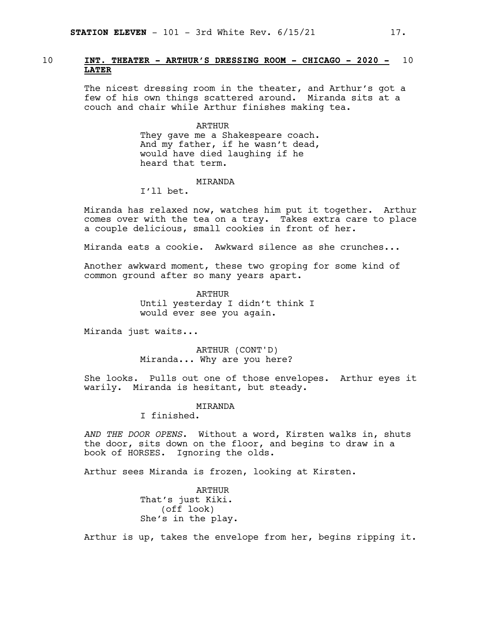# 10 **INT. THEATER - ARTHUR'S DRESSING ROOM - CHICAGO - 2020 -** 10 **LATER**

The nicest dressing room in the theater, and Arthur's got a few of his own things scattered around. Miranda sits at a couch and chair while Arthur finishes making tea.

#### ARTHUR

They gave me a Shakespeare coach. And my father, if he wasn't dead, would have died laughing if he heard that term.

#### MIRANDA

I'll bet.

Miranda has relaxed now, watches him put it together. Arthur comes over with the tea on a tray. Takes extra care to place a couple delicious, small cookies in front of her.

Miranda eats a cookie. Awkward silence as she crunches...

Another awkward moment, these two groping for some kind of common ground after so many years apart.

> ARTHUR Until yesterday I didn't think I would ever see you again.

Miranda just waits...

ARTHUR (CONT'D) Miranda... Why are you here?

She looks. Pulls out one of those envelopes. Arthur eyes it warily. Miranda is hesitant, but steady.

#### MIRANDA

I finished.

*AND THE DOOR OPENS*. Without a word, Kirsten walks in, shuts the door, sits down on the floor, and begins to draw in a book of HORSES. Ignoring the olds.

Arthur sees Miranda is frozen, looking at Kirsten.

ARTHUR That's just Kiki. (off look) She's in the play.

Arthur is up, takes the envelope from her, begins ripping it.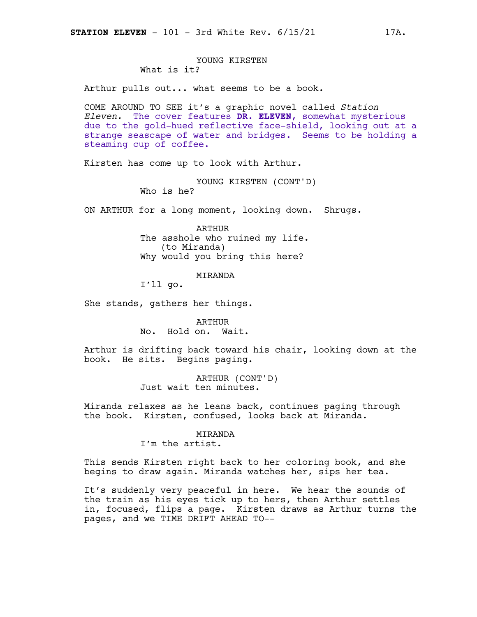# YOUNG KIRSTEN What is it?

Arthur pulls out... what seems to be a book.

COME AROUND TO SEE it's a graphic novel called *Station Eleven.* The cover features **DR. ELEVEN**, somewhat mysterious due to the gold-hued reflective face-shield, looking out at a strange seascape of water and bridges. Seems to be holding a steaming cup of coffee.

Kirsten has come up to look with Arthur.

YOUNG KIRSTEN (CONT'D) Who is he?

ON ARTHUR for a long moment, looking down. Shrugs.

ARTHUR The asshole who ruined my life. (to Miranda) Why would you bring this here?

#### MIRANDA

I'll go.

She stands, gathers her things.

ARTHUR No. Hold on. Wait.

Arthur is drifting back toward his chair, looking down at the book. He sits. Begins paging.

> ARTHUR (CONT'D) Just wait ten minutes.

Miranda relaxes as he leans back, continues paging through the book. Kirsten, confused, looks back at Miranda.

#### MIRANDA

I'm the artist.

This sends Kirsten right back to her coloring book, and she begins to draw again. Miranda watches her, sips her tea.

It's suddenly very peaceful in here. We hear the sounds of the train as his eyes tick up to hers, then Arthur settles in, focused, flips a page. Kirsten draws as Arthur turns the pages, and we TIME DRIFT AHEAD TO--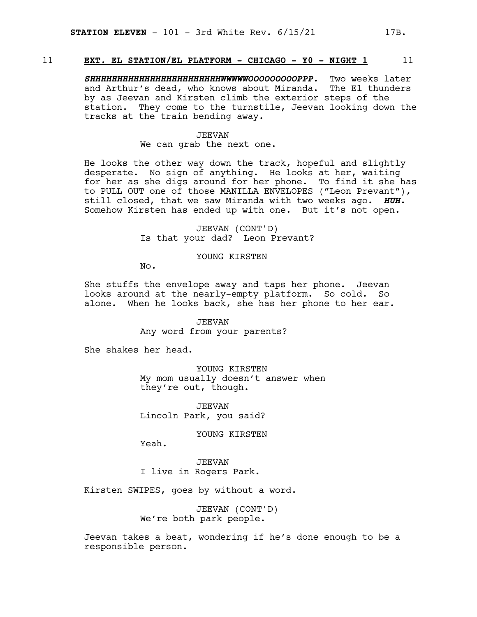# 11 **EXT. EL STATION/EL PLATFORM - CHICAGO - Y0 - NIGHT 1** 11

*SHHHHHHHHHHHHHHHHHHHHHHHHWWWWWOOOOOOOOOPPP.* Two weeks later and Arthur's dead, who knows about Miranda. The El thunders by as Jeevan and Kirsten climb the exterior steps of the station. They come to the turnstile, Jeevan looking down the tracks at the train bending away.

#### JEEVAN

#### We can grab the next one.

He looks the other way down the track, hopeful and slightly desperate. No sign of anything. He looks at her, waiting for her as she digs around for her phone. To find it she has to PULL OUT one of those MANILLA ENVELOPES ("Leon Prevant"), still closed, that we saw Miranda with two weeks ago. *HUH.* Somehow Kirsten has ended up with one. But it's not open.

# JEEVAN (CONT'D) Is that your dad? Leon Prevant?

# YOUNG KIRSTEN

No.

She stuffs the envelope away and taps her phone. Jeevan looks around at the nearly-empty platform. So cold. So alone. When he looks back, she has her phone to her ear.

> JEEVAN Any word from your parents?

She shakes her head.

YOUNG KIRSTEN My mom usually doesn't answer when they're out, though.

JEEVAN Lincoln Park, you said?

YOUNG KIRSTEN

Yeah.

JEEVAN I live in Rogers Park.

Kirsten SWIPES, goes by without a word.

JEEVAN (CONT'D) We're both park people.

Jeevan takes a beat, wondering if he's done enough to be a responsible person.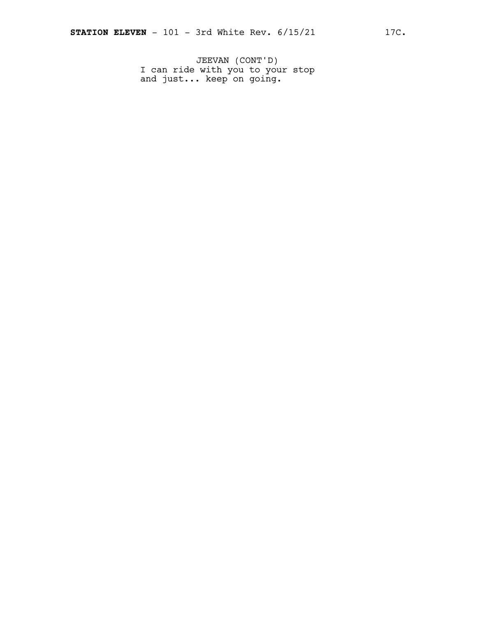JEEVAN (CONT'D) I can ride with you to your stop and just... keep on going.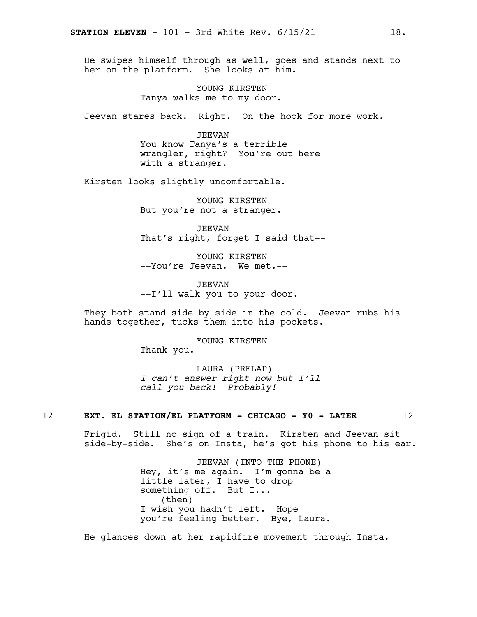He swipes himself through as well, goes and stands next to her on the platform. She looks at him.

> YOUNG KIRSTEN Tanya walks me to my door.

Jeevan stares back. Right. On the hook for more work.

JEEVAN You know Tanya's a terrible wrangler, right? You're out here with a stranger.

Kirsten looks slightly uncomfortable.

YOUNG KIRSTEN But you're not a stranger.

JEEVAN That's right, forget I said that--

YOUNG KIRSTEN --You're Jeevan. We met.--

JEEVAN --I'll walk you to your door.

They both stand side by side in the cold. Jeevan rubs his hands together, tucks them into his pockets.

> YOUNG KIRSTEN Thank you.

LAURA (PRELAP) *I can't answer right now but I'll call you back! Probably!*

#### 12 **EXT. EL STATION/EL PLATFORM - CHICAGO - Y0 - LATER** 12

Frigid. Still no sign of a train. Kirsten and Jeevan sit side-by-side. She's on Insta, he's got his phone to his ear.

> JEEVAN (INTO THE PHONE) Hey, it's me again. I'm gonna be a little later, I have to drop something off. But I... (then) I wish you hadn't left. Hope you're feeling better. Bye, Laura.

He glances down at her rapidfire movement through Insta.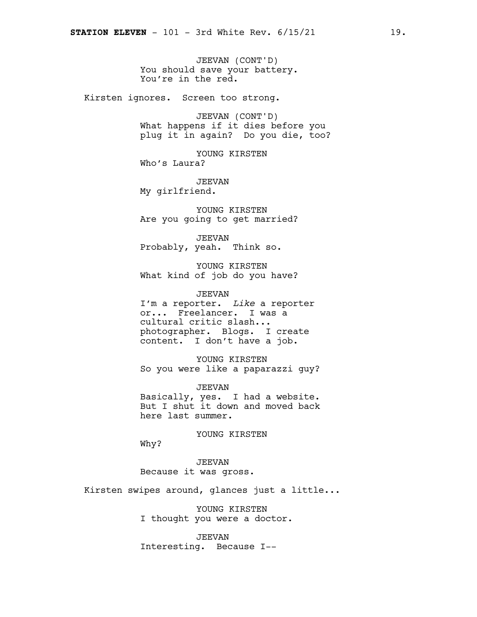JEEVAN (CONT'D) You should save your battery. You're in the red.

Kirsten ignores. Screen too strong.

JEEVAN (CONT'D) What happens if it dies before you plug it in again? Do you die, too?

YOUNG KIRSTEN Who's Laura?

JEEVAN My girlfriend.

YOUNG KIRSTEN Are you going to get married?

JEEVAN Probably, yeah. Think so.

YOUNG KIRSTEN What kind of job do you have?

JEEVAN I'm a reporter. *Like* a reporter or... Freelancer. I was a cultural critic slash... photographer. Blogs. I create content. I don't have a job.

YOUNG KIRSTEN So you were like a paparazzi guy?

JEEVAN Basically, yes. I had a website. But I shut it down and moved back here last summer.

YOUNG KIRSTEN

Why?

JEEVAN Because it was gross.

Kirsten swipes around, glances just a little...

YOUNG KIRSTEN I thought you were a doctor.

JEEVAN Interesting. Because I--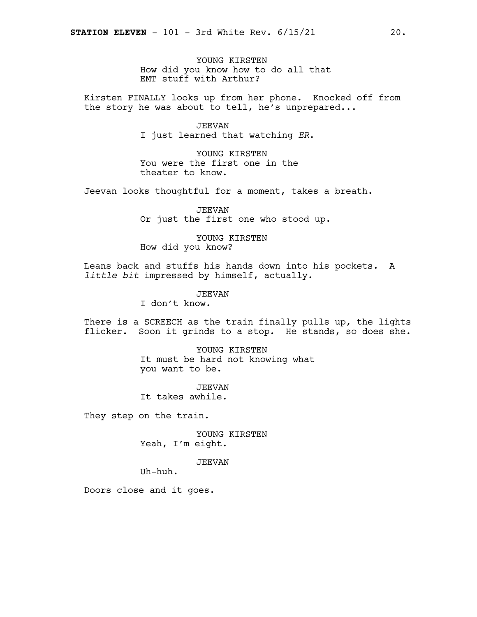YOUNG KIRSTEN How did you know how to do all that EMT stuff with Arthur?

Kirsten FINALLY looks up from her phone. Knocked off from the story he was about to tell, he's unprepared...

# JEEVAN

I just learned that watching *ER*.

YOUNG KIRSTEN You were the first one in the theater to know.

Jeevan looks thoughtful for a moment, takes a breath.

JEEVAN Or just the first one who stood up.

YOUNG KIRSTEN How did you know?

Leans back and stuffs his hands down into his pockets. A *little bit* impressed by himself, actually.

JEEVAN

I don't know.

There is a SCREECH as the train finally pulls up, the lights flicker. Soon it grinds to a stop. He stands, so does she.

> YOUNG KIRSTEN It must be hard not knowing what you want to be.

JEEVAN It takes awhile.

They step on the train.

YOUNG KIRSTEN Yeah, I'm eight.

JEEVAN

Uh-huh.

Doors close and it goes.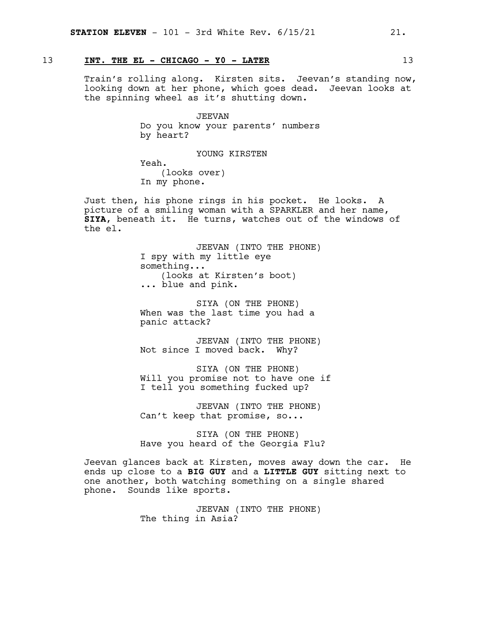# 13 **INT. THE EL - CHICAGO - Y0 - LATER** 13

Train's rolling along. Kirsten sits. Jeevan's standing now, looking down at her phone, which goes dead. Jeevan looks at the spinning wheel as it's shutting down.

> JEEVAN Do you know your parents' numbers by heart?

> > YOUNG KIRSTEN

Yeah. (looks over) In my phone.

Just then, his phone rings in his pocket. He looks. A picture of a smiling woman with a SPARKLER and her name, **SIYA**, beneath it. He turns, watches out of the windows of the el.

> JEEVAN (INTO THE PHONE) I spy with my little eye something... (looks at Kirsten's boot) ... blue and pink.

SIYA (ON THE PHONE) When was the last time you had a panic attack?

JEEVAN (INTO THE PHONE) Not since I moved back. Why?

SIYA (ON THE PHONE) Will you promise not to have one if I tell you something fucked up?

JEEVAN (INTO THE PHONE) Can't keep that promise, so...

SIYA (ON THE PHONE) Have you heard of the Georgia Flu?

Jeevan glances back at Kirsten, moves away down the car. He ends up close to a **BIG GUY** and a **LITTLE GUY** sitting next to one another, both watching something on a single shared phone. Sounds like sports.

> JEEVAN (INTO THE PHONE) The thing in Asia?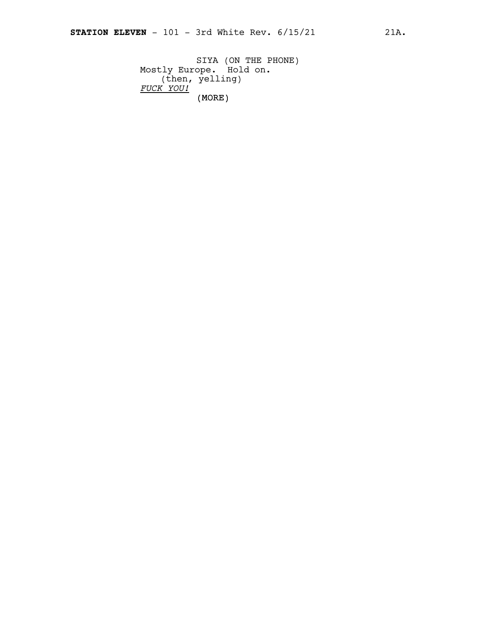(MORE) SIYA (ON THE PHONE) Mostly Europe. Hold on. (then, yelling) *FUCK YOU!*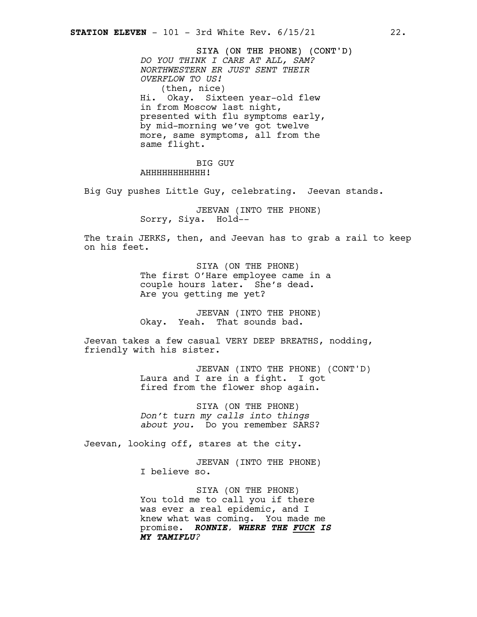SIYA (ON THE PHONE) (CONT'D) *DO YOU THINK I CARE AT ALL, SAM? NORTHWESTERN ER JUST SENT THEIR OVERFLOW TO US!* (then, nice) Hi. Okay. Sixteen year-old flew in from Moscow last night, presented with flu symptoms early, by mid-morning we've got twelve more, same symptoms, all from the same flight.

BIG GUY AHHHHHHHHHHH!

Big Guy pushes Little Guy, celebrating. Jeevan stands.

JEEVAN (INTO THE PHONE) Sorry, Siya. Hold--

The train JERKS, then, and Jeevan has to grab a rail to keep on his feet.

> SIYA (ON THE PHONE) The first O'Hare employee came in a couple hours later. She's dead. Are you getting me yet?

JEEVAN (INTO THE PHONE) Okay. Yeah. That sounds bad.

Jeevan takes a few casual VERY DEEP BREATHS, nodding, friendly with his sister.

> JEEVAN (INTO THE PHONE) (CONT'D) Laura and I are in a fight. I got fired from the flower shop again.

SIYA (ON THE PHONE) *Don't turn my calls into things about you.* Do you remember SARS?

Jeevan, looking off, stares at the city.

JEEVAN (INTO THE PHONE) I believe so.

SIYA (ON THE PHONE) You told me to call you if there was ever a real epidemic, and I knew what was coming. You made me promise. *RONNIE, WHERE THE FUCK IS MY TAMIFLU?*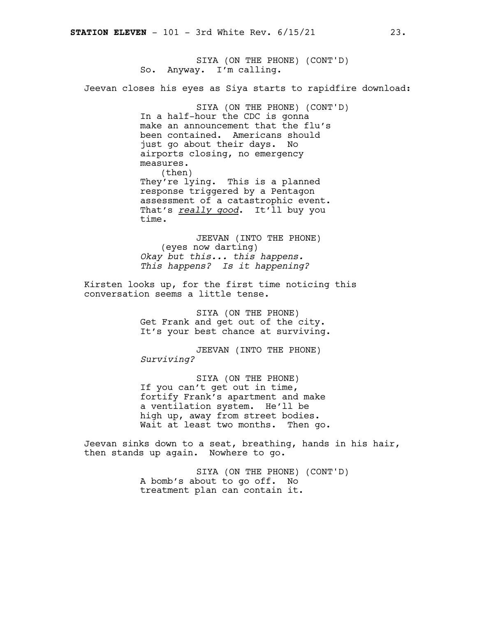SIYA (ON THE PHONE) (CONT'D) So. Anyway. I'm calling.

Jeevan closes his eyes as Siya starts to rapidfire download:

SIYA (ON THE PHONE) (CONT'D) In a half-hour the CDC is gonna make an announcement that the flu's been contained. Americans should just go about their days. No airports closing, no emergency measures. (then) They're lying. This is a planned response triggered by a Pentagon assessment of a catastrophic event. That's *really good*. It'll buy you time.

JEEVAN (INTO THE PHONE) (eyes now darting) *Okay but this... this happens. This happens? Is it happening?*

Kirsten looks up, for the first time noticing this conversation seems a little tense.

> SIYA (ON THE PHONE) Get Frank and get out of the city. It's your best chance at surviving.

JEEVAN (INTO THE PHONE) *Surviving?*

SIYA (ON THE PHONE) If you can't get out in time, fortify Frank's apartment and make a ventilation system. He'll be high up, away from street bodies. Wait at least two months. Then go.

Jeevan sinks down to a seat, breathing, hands in his hair, then stands up again. Nowhere to go.

> SIYA (ON THE PHONE) (CONT'D) A bomb's about to go off. No treatment plan can contain it.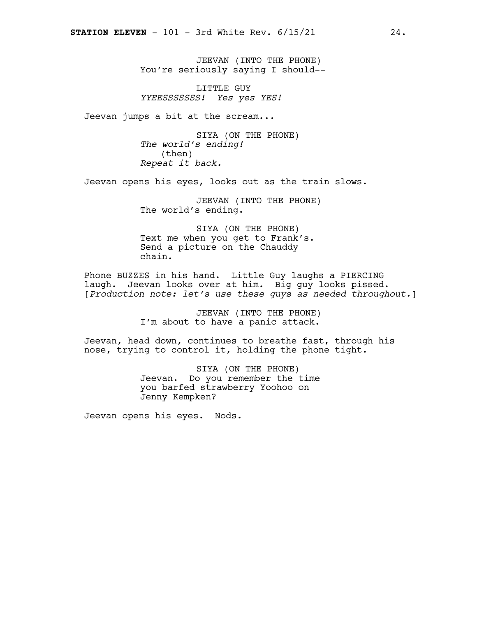JEEVAN (INTO THE PHONE) You're seriously saying I should--

LITTLE GUY *YYEESSSSSSS! Yes yes YES!*

Jeevan jumps a bit at the scream...

SIYA (ON THE PHONE) *The world's ending!* (then) *Repeat it back.*

Jeevan opens his eyes, looks out as the train slows.

JEEVAN (INTO THE PHONE) The world's ending.

SIYA (ON THE PHONE) Text me when you get to Frank's. Send a picture on the Chauddy chain.

Phone BUZZES in his hand. Little Guy laughs a PIERCING laugh. Jeevan looks over at him. Big guy looks pissed. [*Production note: let's use these guys as needed throughout.*]

> JEEVAN (INTO THE PHONE) I'm about to have a panic attack.

Jeevan, head down, continues to breathe fast, through his nose, trying to control it, holding the phone tight.

> SIYA (ON THE PHONE) Jeevan. Do you remember the time you barfed strawberry Yoohoo on Jenny Kempken?

Jeevan opens his eyes. Nods.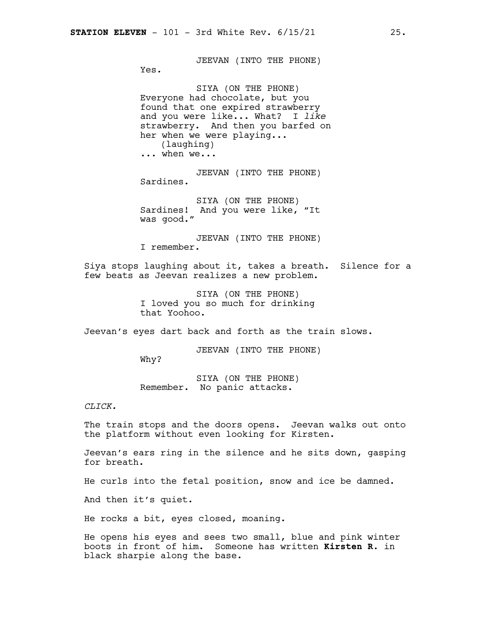JEEVAN (INTO THE PHONE)

Yes.

SIYA (ON THE PHONE) Everyone had chocolate, but you found that one expired strawberry and you were like... What? I *like* strawberry. And then you barfed on her when we were playing... (laughing) ... when we...

JEEVAN (INTO THE PHONE) Sardines.

SIYA (ON THE PHONE) Sardines! And you were like, "It was good."

JEEVAN (INTO THE PHONE) I remember.

Siya stops laughing about it, takes a breath. Silence for a few beats as Jeevan realizes a new problem.

> SIYA (ON THE PHONE) I loved you so much for drinking that Yoohoo.

Jeevan's eyes dart back and forth as the train slows.

JEEVAN (INTO THE PHONE)

Why?

SIYA (ON THE PHONE) Remember. No panic attacks.

*CLICK.*

The train stops and the doors opens. Jeevan walks out onto the platform without even looking for Kirsten.

Jeevan's ears ring in the silence and he sits down, gasping for breath.

He curls into the fetal position, snow and ice be damned.

And then it's quiet.

He rocks a bit, eyes closed, moaning.

He opens his eyes and sees two small, blue and pink winter boots in front of him. Someone has written **Kirsten R**. in black sharpie along the base.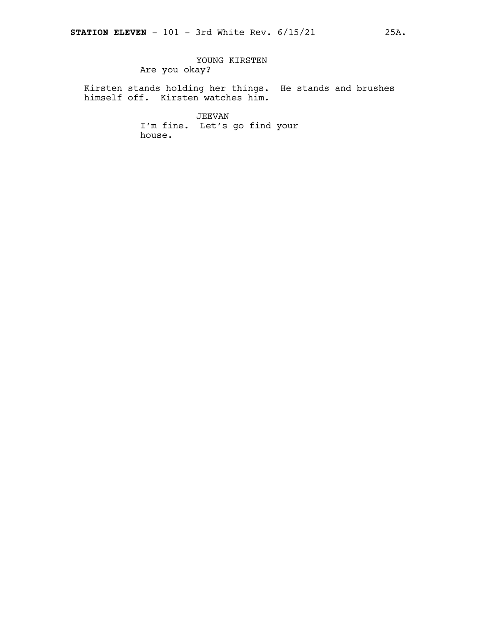# YOUNG KIRSTEN Are you okay?

Kirsten stands holding her things. He stands and brushes himself off. Kirsten watches him.

> JEEVAN I'm fine. Let's go find your house.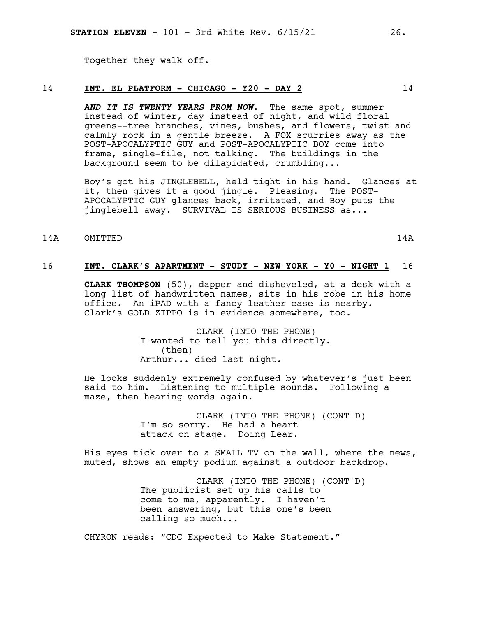Together they walk off.

#### 14 **INT. EL PLATFORM - CHICAGO - Y20 - DAY 2** 14

*AND IT IS TWENTY YEARS FROM NOW.* The same spot, summer instead of winter, day instead of night, and wild floral greens--tree branches, vines, bushes, and flowers, twist and calmly rock in a gentle breeze. A FOX scurries away as the POST-APOCALYPTIC GUY and POST-APOCALYPTIC BOY come into frame, single-file, not talking. The buildings in the background seem to be dilapidated, crumbling...

Boy's got his JINGLEBELL, held tight in his hand. Glances at it, then gives it a good jingle. Pleasing. The POST-APOCALYPTIC GUY glances back, irritated, and Boy puts the jinglebell away. SURVIVAL IS SERIOUS BUSINESS as...

# 14A OMITTED 14A

# 16 **INT. CLARK'S APARTMENT - STUDY - NEW YORK - Y0 - NIGHT 1** 16

**CLARK THOMPSON** (50), dapper and disheveled, at a desk with a long list of handwritten names, sits in his robe in his home office. An iPAD with a fancy leather case is nearby. Clark's GOLD ZIPPO is in evidence somewhere, too.

> CLARK (INTO THE PHONE) I wanted to tell you this directly. (then) Arthur... died last night.

He looks suddenly extremely confused by whatever's just been said to him. Listening to multiple sounds. Following a maze, then hearing words again.

> CLARK (INTO THE PHONE) (CONT'D) I'm so sorry. He had a heart attack on stage. Doing Lear.

His eyes tick over to a SMALL TV on the wall, where the news, muted, shows an empty podium against a outdoor backdrop.

> CLARK (INTO THE PHONE) (CONT'D) The publicist set up his calls to come to me, apparently. I haven't been answering, but this one's been calling so much...

CHYRON reads: "CDC Expected to Make Statement."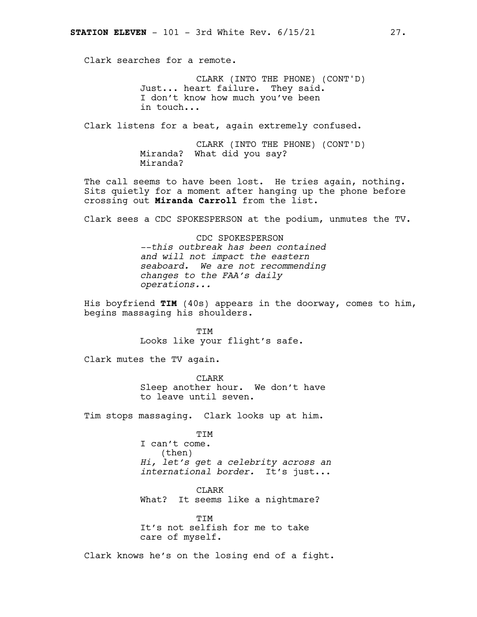Clark searches for a remote.

CLARK (INTO THE PHONE) (CONT'D) Just... heart failure. They said. I don't know how much you've been in touch...

Clark listens for a beat, again extremely confused.

CLARK (INTO THE PHONE) (CONT'D) Miranda? What did you say? Miranda?

The call seems to have been lost. He tries again, nothing. Sits quietly for a moment after hanging up the phone before crossing out **Miranda Carroll** from the list.

Clark sees a CDC SPOKESPERSON at the podium, unmutes the TV.

CDC SPOKESPERSON *--this outbreak has been contained and will not impact the eastern seaboard. We are not recommending changes to the FAA's daily operations...*

His boyfriend **TIM** (40s) appears in the doorway, comes to him, begins massaging his shoulders.

> TIM Looks like your flight's safe.

Clark mutes the TV again.

CLARK Sleep another hour. We don't have to leave until seven.

Tim stops massaging. Clark looks up at him.

TIM I can't come. (then) *Hi, let's get a celebrity across an international border.* It's just...

CLARK What? It seems like a nightmare?

**TTM** It's not selfish for me to take care of myself.

Clark knows he's on the losing end of a fight.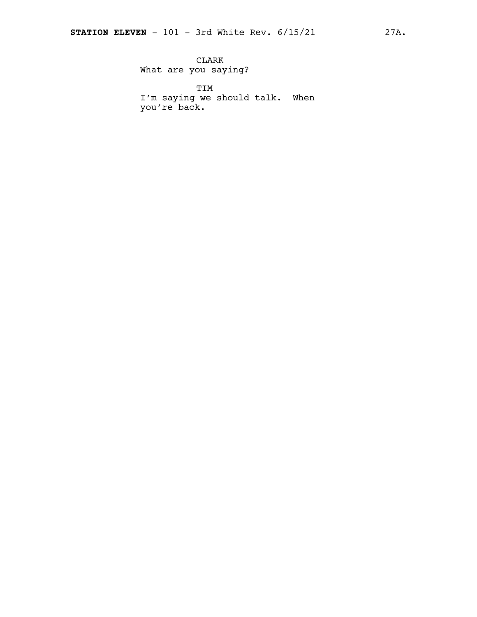CLARK What are you saying?

TIM I'm saying we should talk. When you're back.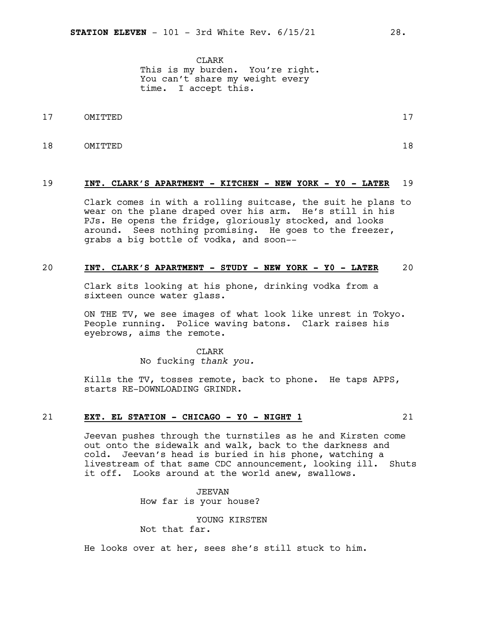CLARK This is my burden. You're right. You can't share my weight every time. I accept this.

- 17 OMITTED 17
- 18 OMITTED 18

#### 19 **INT. CLARK'S APARTMENT - KITCHEN - NEW YORK - Y0 - LATER** 19

Clark comes in with a rolling suitcase, the suit he plans to wear on the plane draped over his arm. He's still in his PJs. He opens the fridge, gloriously stocked, and looks around. Sees nothing promising. He goes to the freezer, grabs a big bottle of vodka, and soon--

#### 20 **INT. CLARK'S APARTMENT - STUDY - NEW YORK - Y0 - LATER** 20

Clark sits looking at his phone, drinking vodka from a sixteen ounce water glass.

ON THE TV, we see images of what look like unrest in Tokyo. People running. Police waving batons. Clark raises his eyebrows, aims the remote.

> CLARK No fucking *thank you.*

Kills the TV, tosses remote, back to phone. He taps APPS, starts RE-DOWNLOADING GRINDR.

#### 21 **EXT. EL STATION - CHICAGO - Y0 - NIGHT 1** 21

Jeevan pushes through the turnstiles as he and Kirsten come out onto the sidewalk and walk, back to the darkness and cold. Jeevan's head is buried in his phone, watching a livestream of that same CDC announcement, looking ill. Shuts it off. Looks around at the world anew, swallows.

> JEEVAN How far is your house?

YOUNG KIRSTEN Not that far.

He looks over at her, sees she's still stuck to him.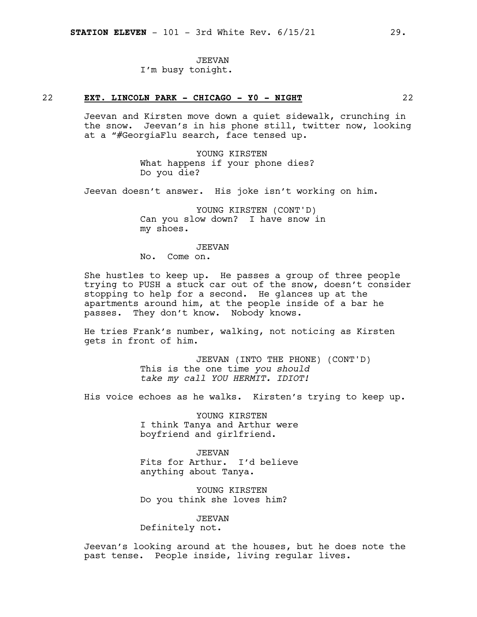#### JEEVAN

I'm busy tonight.

# 22 **EXT. LINCOLN PARK - CHICAGO - Y0 - NIGHT** 22

Jeevan and Kirsten move down a quiet sidewalk, crunching in the snow. Jeevan's in his phone still, twitter now, looking at a "#GeorgiaFlu search, face tensed up.

> YOUNG KIRSTEN What happens if your phone dies? Do you die?

Jeevan doesn't answer. His joke isn't working on him.

YOUNG KIRSTEN (CONT'D) Can you slow down? I have snow in my shoes.

#### JEEVAN

No. Come on.

She hustles to keep up. He passes a group of three people trying to PUSH a stuck car out of the snow, doesn't consider stopping to help for a second. He glances up at the apartments around him, at the people inside of a bar he passes. They don't know. Nobody knows.

He tries Frank's number, walking, not noticing as Kirsten gets in front of him.

> JEEVAN (INTO THE PHONE) (CONT'D) This is the one time *you should take my call YOU HERMIT. IDIOT!*

His voice echoes as he walks. Kirsten's trying to keep up.

YOUNG KIRSTEN I think Tanya and Arthur were boyfriend and girlfriend.

JEEVAN Fits for Arthur. I'd believe anything about Tanya.

YOUNG KIRSTEN Do you think she loves him?

#### JEEVAN

Definitely not.

Jeevan's looking around at the houses, but he does note the past tense. People inside, living regular lives.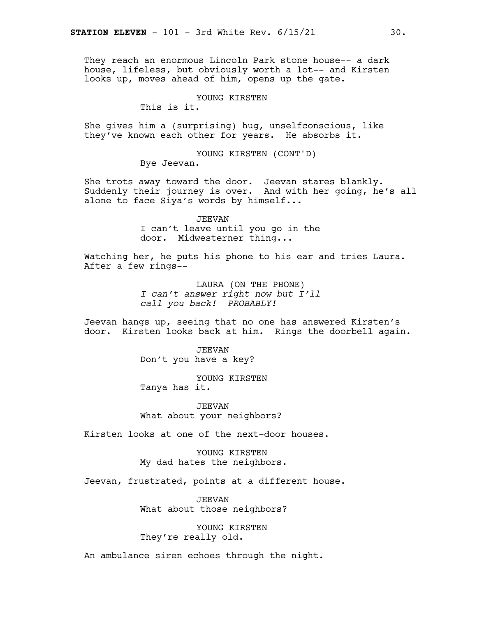They reach an enormous Lincoln Park stone house-- a dark house, lifeless, but obviously worth a lot-- and Kirsten looks up, moves ahead of him, opens up the gate.

#### YOUNG KIRSTEN

This is it.

She gives him a (surprising) hug, unselfconscious, like they've known each other for years. He absorbs it.

> YOUNG KIRSTEN (CONT'D) Bye Jeevan.

She trots away toward the door. Jeevan stares blankly. Suddenly their journey is over. And with her going, he's all alone to face Siya's words by himself...

> JEEVAN I can't leave until you go in the door. Midwesterner thing...

Watching her, he puts his phone to his ear and tries Laura. After a few rings--

> LAURA (ON THE PHONE) *I can't answer right now but I'll call you back! PROBABLY!*

Jeevan hangs up, seeing that no one has answered Kirsten's door. Kirsten looks back at him. Rings the doorbell again.

> JEEVAN Don't you have a key?

YOUNG KIRSTEN Tanya has it.

JEEVAN What about your neighbors?

Kirsten looks at one of the next-door houses.

YOUNG KIRSTEN My dad hates the neighbors.

Jeevan, frustrated, points at a different house.

JEEVAN What about those neighbors?

YOUNG KIRSTEN They're really old.

An ambulance siren echoes through the night.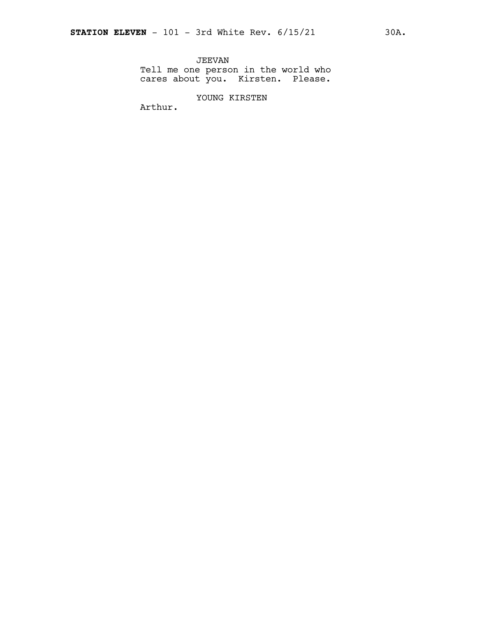JEEVAN Tell me one person in the world who cares about you. Kirsten. Please.

YOUNG KIRSTEN

Arthur.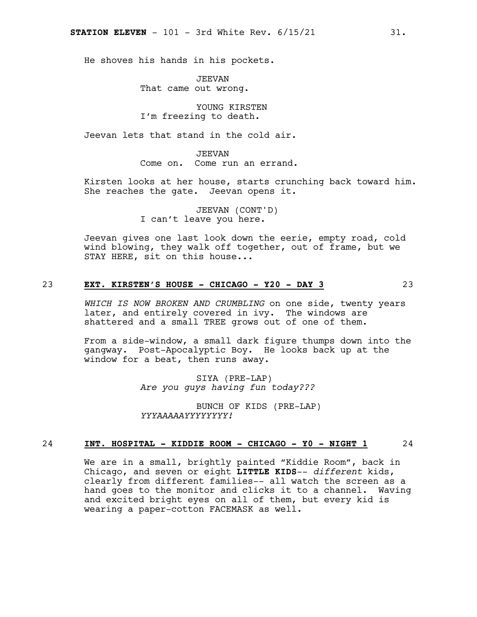He shoves his hands in his pockets.

JEEVAN That came out wrong.

YOUNG KIRSTEN I'm freezing to death.

Jeevan lets that stand in the cold air.

JEEVAN Come on. Come run an errand.

Kirsten looks at her house, starts crunching back toward him. She reaches the gate. Jeevan opens it.

> JEEVAN (CONT'D) I can't leave you here.

Jeevan gives one last look down the eerie, empty road, cold wind blowing, they walk off together, out of frame, but we STAY HERE, sit on this house...

# 23 **EXT. KIRSTEN'S HOUSE - CHICAGO - Y20 - DAY 3** 23

*WHICH IS NOW BROKEN AND CRUMBLING* on one side, twenty years later, and entirely covered in ivy. The windows are shattered and a small TREE grows out of one of them.

From a side-window, a small dark figure thumps down into the gangway. Post-Apocalyptic Boy. He looks back up at the window for a beat, then runs away.

> SIYA (PRE-LAP) *Are you guys having fun today???*

BUNCH OF KIDS (PRE-LAP) *YYYAAAAAYYYYYYYY!*

### 24 **INT. HOSPITAL - KIDDIE ROOM - CHICAGO - Y0 - NIGHT 1** 24

We are in a small, brightly painted "Kiddie Room", back in Chicago, and seven or eight **LITTLE KIDS**-- *different* kids, clearly from different families-- all watch the screen as a hand goes to the monitor and clicks it to a channel. Waving and excited bright eyes on all of them, but every kid is wearing a paper-cotton FACEMASK as well.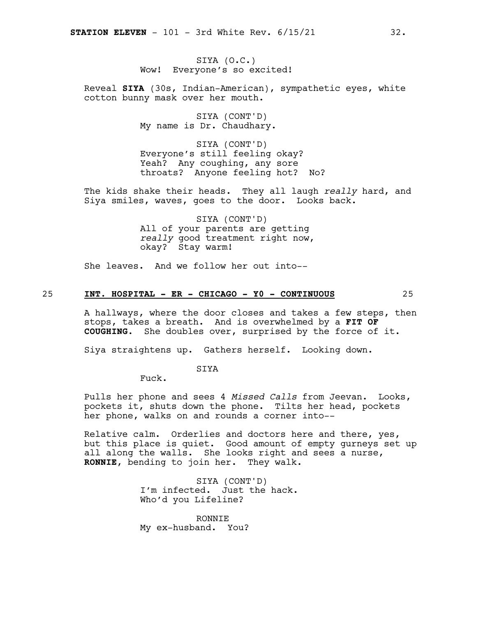SIYA (O.C.) Wow! Everyone's so excited!

Reveal **SIYA** (30s, Indian-American), sympathetic eyes, white cotton bunny mask over her mouth.

> SIYA (CONT'D) My name is Dr. Chaudhary.

SIYA (CONT'D) Everyone's still feeling okay? Yeah? Any coughing, any sore throats? Anyone feeling hot? No?

The kids shake their heads. They all laugh *really* hard, and Siya smiles, waves, goes to the door. Looks back.

> SIYA (CONT'D) All of your parents are getting *really* good treatment right now, okay? Stay warm!

She leaves. And we follow her out into--

#### 25 **INT. HOSPITAL - ER - CHICAGO - Y0 - CONTINUOUS** 25

A hallways, where the door closes and takes a few steps, then stops, takes a breath. And is overwhelmed by a **FIT OF COUGHING**. She doubles over, surprised by the force of it.

Siya straightens up. Gathers herself. Looking down.

SIYA

Fuck.

Pulls her phone and sees 4 *Missed Calls* from Jeevan. Looks, pockets it, shuts down the phone. Tilts her head, pockets her phone, walks on and rounds a corner into--

Relative calm. Orderlies and doctors here and there, yes, but this place is quiet. Good amount of empty gurneys set up all along the walls. She looks right and sees a nurse, **RONNIE**, bending to join her. They walk.

> SIYA (CONT'D) I'm infected. Just the hack. Who'd you Lifeline?

RONNIE My ex-husband. You?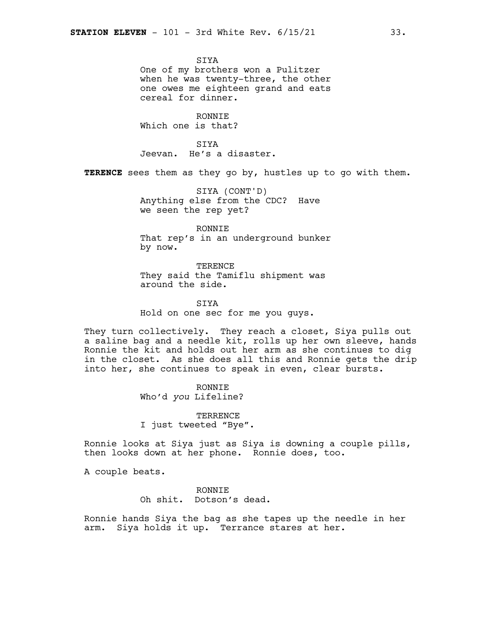**STYA** One of my brothers won a Pulitzer when he was twenty-three, the other one owes me eighteen grand and eats cereal for dinner.

RONNIE Which one is that?

SIYA Jeevan. He's a disaster.

**TERENCE** sees them as they go by, hustles up to go with them.

SIYA (CONT'D) Anything else from the CDC? Have we seen the rep yet?

RONNIE That rep's in an underground bunker by now.

TERENCE They said the Tamiflu shipment was around the side.

SIYA Hold on one sec for me you guys.

They turn collectively. They reach a closet, Siya pulls out a saline bag and a needle kit, rolls up her own sleeve, hands Ronnie the kit and holds out her arm as she continues to dig in the closet. As she does all this and Ronnie gets the drip into her, she continues to speak in even, clear bursts.

> RONNIE Who'd *you* Lifeline?

TERRENCE I just tweeted "Bye".

Ronnie looks at Siya just as Siya is downing a couple pills, then looks down at her phone. Ronnie does, too.

A couple beats.

RONNIE Oh shit. Dotson's dead.

Ronnie hands Siya the bag as she tapes up the needle in her arm. Siya holds it up. Terrance stares at her.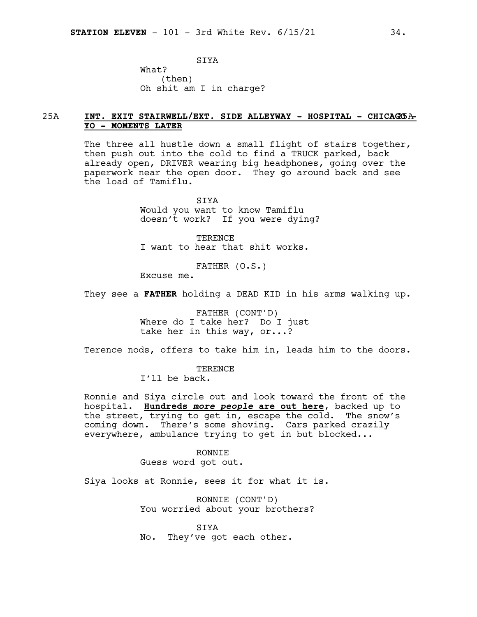SIYA What? (then) Oh shit am I in charge?

# 25A **INT. EXIT STAIRWELL/EXT. SIDE ALLEYWAY - HOSPITAL - CHICAG**25A **O - YO - MOMENTS LATER**

The three all hustle down a small flight of stairs together, then push out into the cold to find a TRUCK parked, back already open, DRIVER wearing big headphones, going over the paperwork near the open door. They go around back and see the load of Tamiflu.

> SIYA Would you want to know Tamiflu doesn't work? If you were dying?

TERENCE I want to hear that shit works.

FATHER (O.S.)

Excuse me.

They see a **FATHER** holding a DEAD KID in his arms walking up.

FATHER (CONT'D) Where do I take her? Do I just take her in this way, or...?

Terence nods, offers to take him in, leads him to the doors.

**TERENCE** I'll be back.

Ronnie and Siya circle out and look toward the front of the hospital. **Hundreds** *more people* **are out here**, backed up to the street, trying to get in, escape the cold. The snow's coming down. There's some shoving. Cars parked crazily everywhere, ambulance trying to get in but blocked...

> RONNIE Guess word got out.

Siya looks at Ronnie, sees it for what it is.

RONNIE (CONT'D) You worried about your brothers?

SIYA No. They've got each other.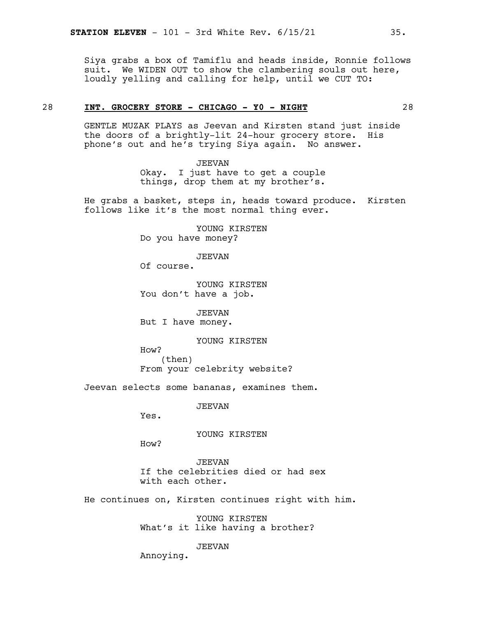Siya grabs a box of Tamiflu and heads inside, Ronnie follows suit. We WIDEN OUT to show the clambering souls out here, loudly yelling and calling for help, until we CUT TO:

# 28 **INT. GROCERY STORE - CHICAGO - Y0 - NIGHT** 28

GENTLE MUZAK PLAYS as Jeevan and Kirsten stand just inside the doors of a brightly-lit 24-hour grocery store. His phone's out and he's trying Siya again. No answer.

> JEEVAN Okay. I just have to get a couple things, drop them at my brother's.

He grabs a basket, steps in, heads toward produce. Kirsten follows like it's the most normal thing ever.

> YOUNG KIRSTEN Do you have money?

> > JEEVAN

Of course.

YOUNG KIRSTEN You don't have a job.

JEEVAN But I have money.

YOUNG KIRSTEN

How? (then) From your celebrity website?

Jeevan selects some bananas, examines them.

JEEVAN

Yes.

YOUNG KIRSTEN

How?

JEEVAN If the celebrities died or had sex with each other.

He continues on, Kirsten continues right with him.

YOUNG KIRSTEN What's it like having a brother?

JEEVAN

Annoying.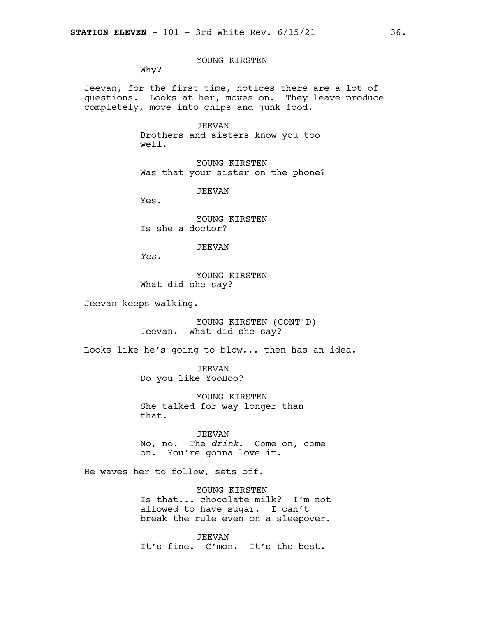YOUNG KIRSTEN

Why?

Jeevan, for the first time, notices there are a lot of questions. Looks at her, moves on. They leave produce completely, move into chips and junk food.

> JEEVAN Brothers and sisters know you too well.

YOUNG KIRSTEN Was that your sister on the phone?

JEEVAN

Yes.

YOUNG KIRSTEN Is she a doctor?

#### JEEVAN

*Yes.*

YOUNG KIRSTEN What did she say?

Jeevan keeps walking.

YOUNG KIRSTEN (CONT'D) Jeevan. What did she say?

Looks like he's going to blow... then has an idea.

JEEVAN Do you like YooHoo?

YOUNG KIRSTEN She talked for way longer than that.

JEEVAN No, no. The *drink*. Come on, come on. You're gonna love it.

He waves her to follow, sets off.

YOUNG KIRSTEN Is that... chocolate milk? I'm not allowed to have sugar. I can't break the rule even on a sleepover.

JEEVAN It's fine. C'mon. It's the best.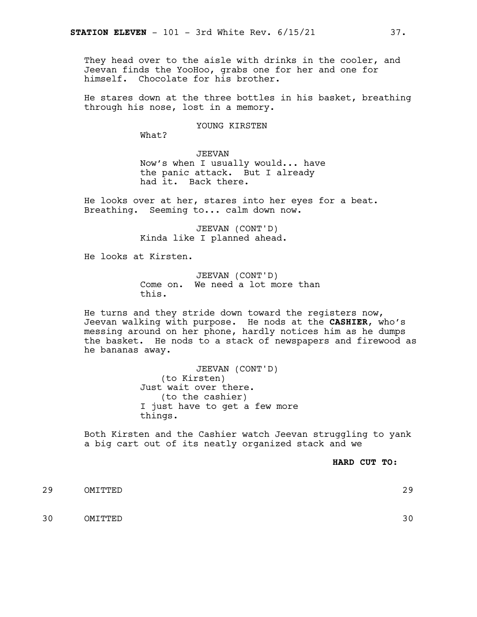They head over to the aisle with drinks in the cooler, and Jeevan finds the YooHoo, grabs one for her and one for himself. Chocolate for his brother.

He stares down at the three bottles in his basket, breathing through his nose, lost in a memory.

YOUNG KIRSTEN

What?

JEEVAN Now's when I usually would... have the panic attack. But I already had it. Back there.

He looks over at her, stares into her eyes for a beat. Breathing. Seeming to... calm down now.

> JEEVAN (CONT'D) Kinda like I planned ahead.

He looks at Kirsten.

JEEVAN (CONT'D) Come on. We need a lot more than this.

He turns and they stride down toward the registers now, Jeevan walking with purpose. He nods at the **CASHIER**, who's messing around on her phone, hardly notices him as he dumps the basket. He nods to a stack of newspapers and firewood as he bananas away.

> JEEVAN (CONT'D) (to Kirsten) Just wait over there. (to the cashier) I just have to get a few more things.

Both Kirsten and the Cashier watch Jeevan struggling to yank a big cart out of its neatly organized stack and we

**HARD CUT TO:**

29 OMITTED 29

30 OMITTED 30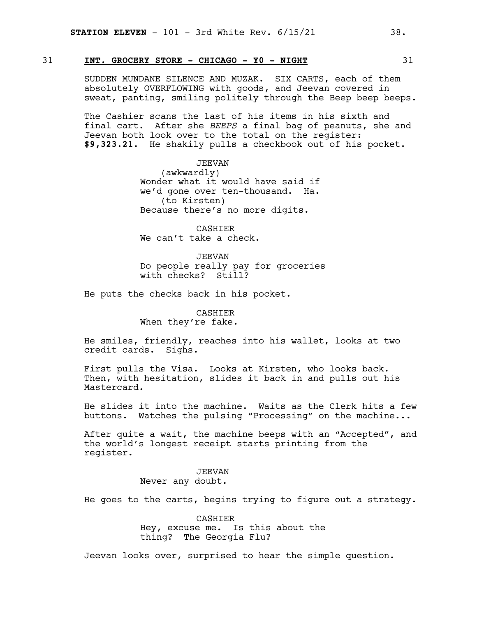# 31 **INT. GROCERY STORE - CHICAGO - Y0 - NIGHT** 31

SUDDEN MUNDANE SILENCE AND MUZAK. SIX CARTS, each of them absolutely OVERFLOWING with goods, and Jeevan covered in sweat, panting, smiling politely through the Beep beep beeps.

The Cashier scans the last of his items in his sixth and final cart. After she *BEEPS* a final bag of peanuts, she and Jeevan both look over to the total on the register: **\$9,323.21.** He shakily pulls a checkbook out of his pocket.

> JEEVAN (awkwardly) Wonder what it would have said if we'd gone over ten-thousand. Ha. (to Kirsten) Because there's no more digits.

CASHIER We can't take a check.

JEEVAN Do people really pay for groceries with checks? Still?

He puts the checks back in his pocket.

CASHIER When they're fake.

He smiles, friendly, reaches into his wallet, looks at two credit cards. Sighs.

First pulls the Visa. Looks at Kirsten, who looks back. Then, with hesitation, slides it back in and pulls out his Mastercard.

He slides it into the machine. Waits as the Clerk hits a few buttons. Watches the pulsing "Processing" on the machine...

After quite a wait, the machine beeps with an "Accepted", and the world's longest receipt starts printing from the register.

#### JEEVAN Never any doubt.

He goes to the carts, begins trying to figure out a strategy.

CASHIER Hey, excuse me. Is this about the thing? The Georgia Flu?

Jeevan looks over, surprised to hear the simple question.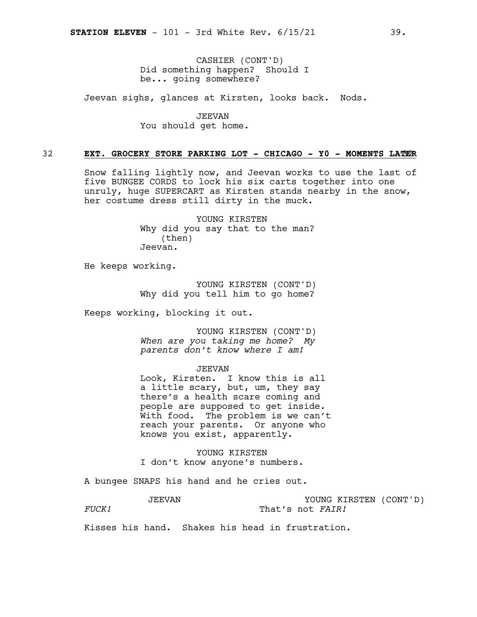CASHIER (CONT'D) Did something happen? Should I be... going somewhere?

Jeevan sighs, glances at Kirsten, looks back. Nods.

JEEVAN You should get home.

### 32 **EXT. GROCERY STORE PARKING LOT - CHICAGO - Y0 - MOMENTS LAT**32**ER**

Snow falling lightly now, and Jeevan works to use the last of five BUNGEE CORDS to lock his six carts together into one unruly, huge SUPERCART as Kirsten stands nearby in the snow, her costume dress still dirty in the muck.

> YOUNG KIRSTEN Why did you say that to the man? (then) Jeevan.

He keeps working.

YOUNG KIRSTEN (CONT'D) Why did you tell him to go home?

Keeps working, blocking it out.

YOUNG KIRSTEN (CONT'D) *When are you taking me home? My parents don't know where I am!*

#### JEEVAN

Look, Kirsten. I know this is all a little scary, but, um, they say there's a health scare coming and people are supposed to get inside. With food. The problem is we can't reach your parents. Or anyone who knows you exist, apparently.

YOUNG KIRSTEN I don't know anyone's numbers.

A bungee SNAPS his hand and he cries out.

JEEVAN *FUCK!* YOUNG KIRSTEN (CONT'D) That's not *FAIR!*

Kisses his hand. Shakes his head in frustration.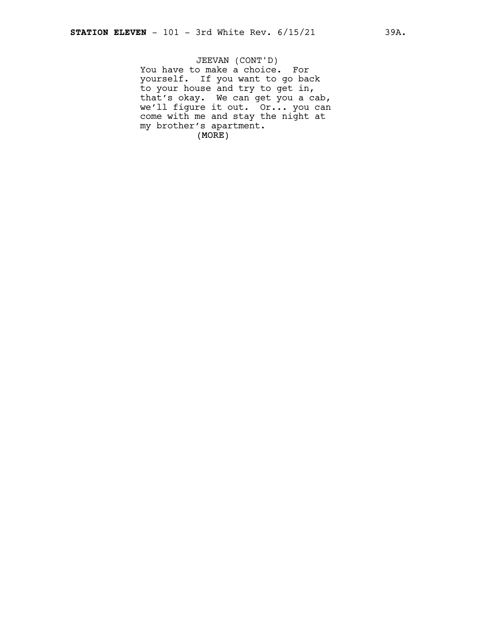(MORE) JEEVAN (CONT'D) You have to make a choice. For yourself. If you want to go back to your house and try to get in, that's okay. We can get you a cab, we'll figure it out. Or... you can come with me and stay the night at my brother's apartment.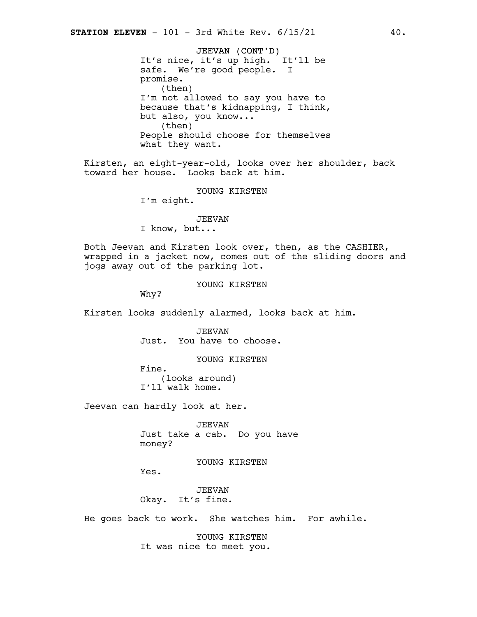JEEVAN (CONT'D) It's nice, it's up high. It'll be safe. We're good people. I promise. (then) I'm not allowed to say you have to because that's kidnapping, I think, but also, you know... (then) People should choose for themselves what they want.

Kirsten, an eight-year-old, looks over her shoulder, back toward her house. Looks back at him.

YOUNG KIRSTEN

I'm eight.

JEEVAN I know, but...

Both Jeevan and Kirsten look over, then, as the CASHIER, wrapped in a jacket now, comes out of the sliding doors and jogs away out of the parking lot.

YOUNG KIRSTEN

Why?

Kirsten looks suddenly alarmed, looks back at him.

JEEVAN Just. You have to choose.

YOUNG KIRSTEN

Fine. (looks around) I'll walk home.

Jeevan can hardly look at her.

JEEVAN Just take a cab. Do you have money?

YOUNG KIRSTEN

Yes.

JEEVAN Okay. It's fine.

He goes back to work. She watches him. For awhile.

YOUNG KIRSTEN It was nice to meet you.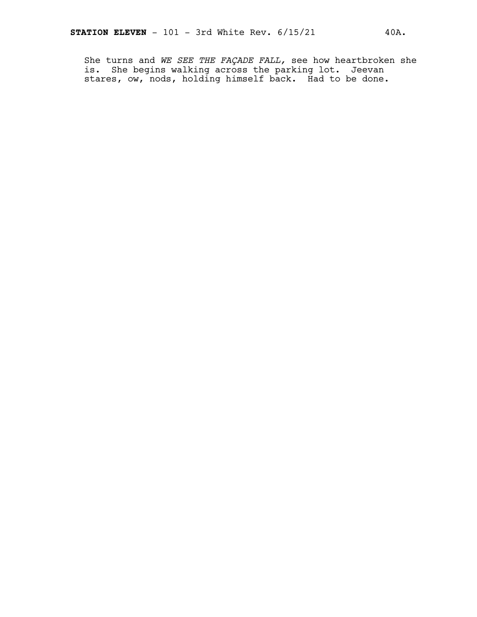She turns and *WE SEE THE FAÇADE FALL,* see how heartbroken she is. She begins walking across the parking lot. Jeevan stares, ow, nods, holding himself back. Had to be done.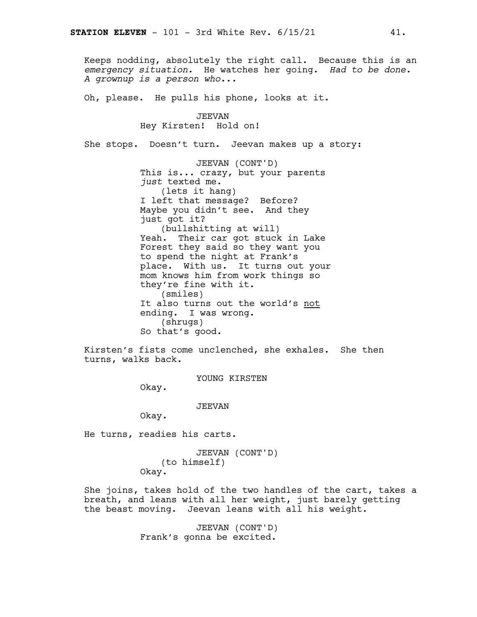Keeps nodding, absolutely the right call. Because this is an *emergency situation.* He watches her going. *Had to be done. A grownup is a person who...*

Oh, please. He pulls his phone, looks at it.

JEEVAN Hey Kirsten! Hold on!

She stops. Doesn't turn. Jeevan makes up a story:

JEEVAN (CONT'D) This is... crazy, but your parents *just* texted me. (lets it hang) I left that message? Before? Maybe you didn't see. And they just got it? (bullshitting at will) Yeah. Their car got stuck in Lake Forest they said so they want you to spend the night at Frank's place. With us. It turns out your mom knows him from work things so they're fine with it. (smiles) It also turns out the world's not ending. I was wrong. (shrugs) So that's good.

Kirsten's fists come unclenched, she exhales. She then turns, walks back.

YOUNG KIRSTEN

Okay.

JEEVAN

Okay.

He turns, readies his carts.

JEEVAN (CONT'D) (to himself) Okay.

She joins, takes hold of the two handles of the cart, takes a breath, and leans with all her weight, just barely getting the beast moving. Jeevan leans with all his weight.

> JEEVAN (CONT'D) Frank's gonna be excited.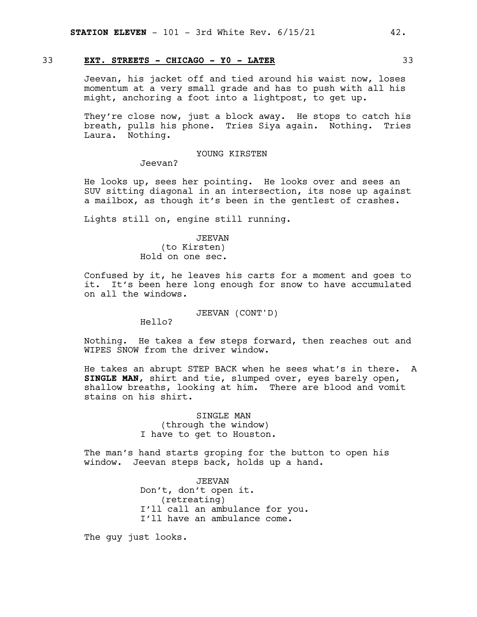# 33 **EXT. STREETS - CHICAGO - Y0 - LATER** 33

Jeevan, his jacket off and tied around his waist now, loses momentum at a very small grade and has to push with all his might, anchoring a foot into a lightpost, to get up.

They're close now, just a block away. He stops to catch his breath, pulls his phone. Tries Siya again. Nothing. Tries Laura. Nothing.

### YOUNG KIRSTEN

Jeevan?

He looks up, sees her pointing. He looks over and sees an SUV sitting diagonal in an intersection, its nose up against a mailbox, as though it's been in the gentlest of crashes.

Lights still on, engine still running.

# JEEVAN (to Kirsten) Hold on one sec.

Confused by it, he leaves his carts for a moment and goes to it. It's been here long enough for snow to have accumulated on all the windows.

JEEVAN (CONT'D)

Hello?

Nothing. He takes a few steps forward, then reaches out and WIPES SNOW from the driver window.

He takes an abrupt STEP BACK when he sees what's in there. A **SINGLE MAN**, shirt and tie, slumped over, eyes barely open, shallow breaths, looking at him. There are blood and vomit stains on his shirt.

> SINGLE MAN (through the window) I have to get to Houston.

The man's hand starts groping for the button to open his window. Jeevan steps back, holds up a hand.

> JEEVAN Don't, don't open it. (retreating) I'll call an ambulance for you. I'll have an ambulance come.

The guy just looks.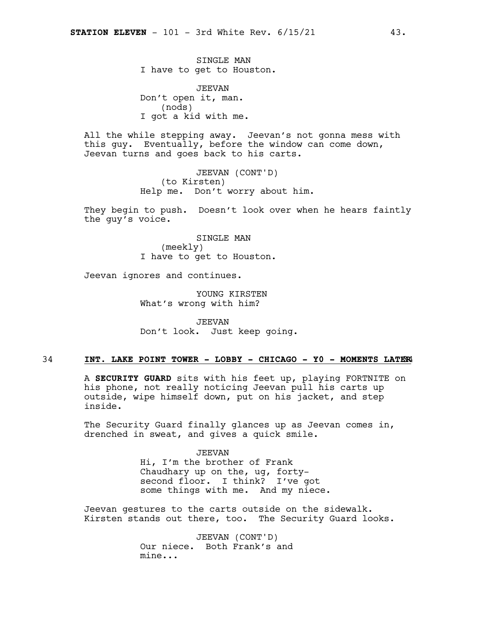SINGLE MAN I have to get to Houston.

JEEVAN Don't open it, man. (nods) I got a kid with me.

All the while stepping away. Jeevan's not gonna mess with this guy. Eventually, before the window can come down, Jeevan turns and goes back to his carts.

> JEEVAN (CONT'D) (to Kirsten) Help me. Don't worry about him.

They begin to push. Doesn't look over when he hears faintly the guy's voice.

> SINGLE MAN (meekly) I have to get to Houston.

Jeevan ignores and continues.

YOUNG KIRSTEN What's wrong with him?

JEEVAN Don't look. Just keep going.

# 34 **INT. LAKE POINT TOWER - LOBBY - CHICAGO - Y0 - MOMENTS LATE**34**R**

A **SECURITY GUARD** sits with his feet up, playing FORTNITE on his phone, not really noticing Jeevan pull his carts up outside, wipe himself down, put on his jacket, and step inside.

The Security Guard finally glances up as Jeevan comes in, drenched in sweat, and gives a quick smile.

#### JEEVAN

Hi, I'm the brother of Frank Chaudhary up on the, ug, fortysecond floor. I think? I've got some things with me. And my niece.

Jeevan gestures to the carts outside on the sidewalk. Kirsten stands out there, too. The Security Guard looks.

> JEEVAN (CONT'D) Our niece. Both Frank's and mine...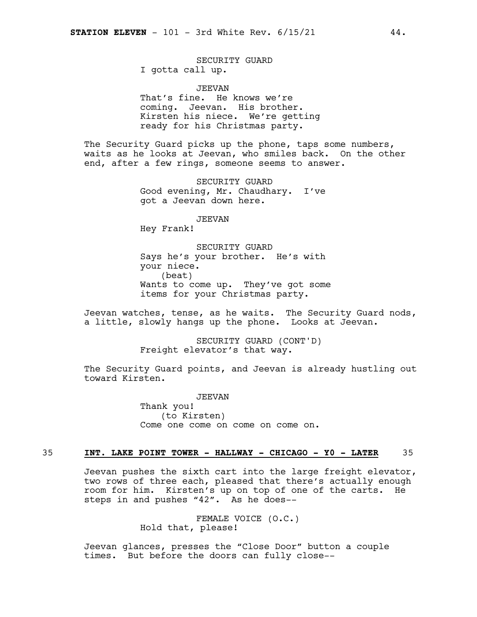#### SECURITY GUARD I gotta call up.

JEEVAN

That's fine. He knows we're coming. Jeevan. His brother. Kirsten his niece. We're getting ready for his Christmas party.

The Security Guard picks up the phone, taps some numbers, waits as he looks at Jeevan, who smiles back. On the other end, after a few rings, someone seems to answer.

> SECURITY GUARD Good evening, Mr. Chaudhary. I've got a Jeevan down here.

> > JEEVAN

Hey Frank!

SECURITY GUARD Says he's your brother. He's with your niece. (beat) Wants to come up. They've got some items for your Christmas party.

Jeevan watches, tense, as he waits. The Security Guard nods, a little, slowly hangs up the phone. Looks at Jeevan.

> SECURITY GUARD (CONT'D) Freight elevator's that way.

The Security Guard points, and Jeevan is already hustling out toward Kirsten.

> JEEVAN Thank you! (to Kirsten) Come one come on come on come on.

### 35 **INT. LAKE POINT TOWER - HALLWAY - CHICAGO - Y0 - LATER** 35

Jeevan pushes the sixth cart into the large freight elevator, two rows of three each, pleased that there's actually enough room for him. Kirsten's up on top of one of the carts. He steps in and pushes "42". As he does--

> FEMALE VOICE (O.C.) Hold that, please!

Jeevan glances, presses the "Close Door" button a couple times. But before the doors can fully close--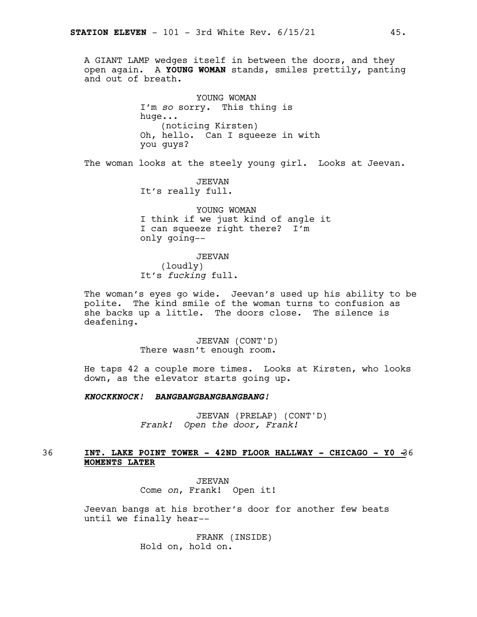A GIANT LAMP wedges itself in between the doors, and they open again. A **YOUNG WOMAN** stands, smiles prettily, panting and out of breath.

> YOUNG WOMAN I'm *so* sorry. This thing is huge... (noticing Kirsten) Oh, hello. Can I squeeze in with you guys?

The woman looks at the steely young girl. Looks at Jeevan.

JEEVAN It's really full.

YOUNG WOMAN I think if we just kind of angle it I can squeeze right there? I'm only going--

JEEVAN (loudly) It's *fucking* full.

The woman's eyes go wide. Jeevan's used up his ability to be polite. The kind smile of the woman turns to confusion as she backs up a little. The doors close. The silence is deafening.

> JEEVAN (CONT'D) There wasn't enough room.

He taps 42 a couple more times. Looks at Kirsten, who looks down, as the elevator starts going up.

*KNOCKKNOCK! BANGBANGBANGBANGBANG!*

JEEVAN (PRELAP) (CONT'D) *Frank! Open the door, Frank!*

# 36 **INT. LAKE POINT TOWER - 42ND FLOOR HALLWAY - CHICAGO - Y0 -**36 **MOMENTS LATER**

JEEVAN Come *on*, Frank! Open it!

Jeevan bangs at his brother's door for another few beats until we finally hear--

> FRANK (INSIDE) Hold on, hold on.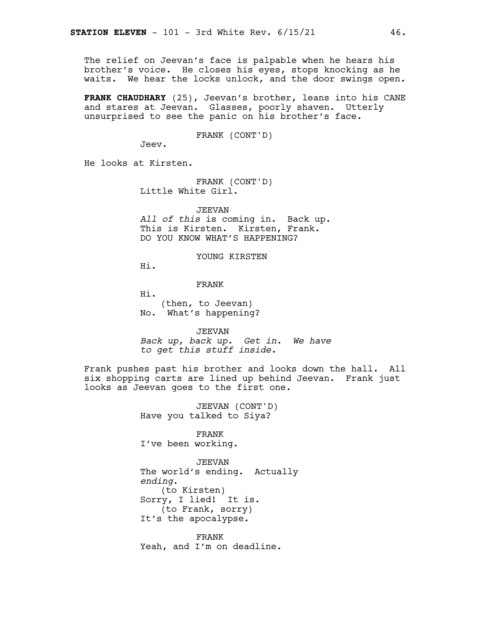The relief on Jeevan's face is palpable when he hears his brother's voice. He closes his eyes, stops knocking as he waits. We hear the locks unlock, and the door swings open.

**FRANK CHAUDHARY** (25), Jeevan's brother, leans into his CANE and stares at Jeevan. Glasses, poorly shaven. Utterly unsurprised to see the panic on his brother's face.

FRANK (CONT'D)

Jeev.

He looks at Kirsten.

FRANK (CONT'D) Little White Girl.

JEEVAN *All of this* is coming in. Back up. This is Kirsten. Kirsten, Frank. DO YOU KNOW WHAT'S HAPPENING?

YOUNG KIRSTEN

Hi.

FRANK

Hi. (then, to Jeevan) No. What's happening?

JEEVAN *Back up, back up. Get in. We have to get this stuff inside.*

Frank pushes past his brother and looks down the hall. All six shopping carts are lined up behind Jeevan. Frank just looks as Jeevan goes to the first one.

> JEEVAN (CONT'D) Have you talked to Siya?

FRANK I've been working.

JEEVAN The world's ending. Actually *ending*. (to Kirsten) Sorry, I lied! It is. (to Frank, sorry) It's the apocalypse.

FRANK Yeah, and I'm on deadline.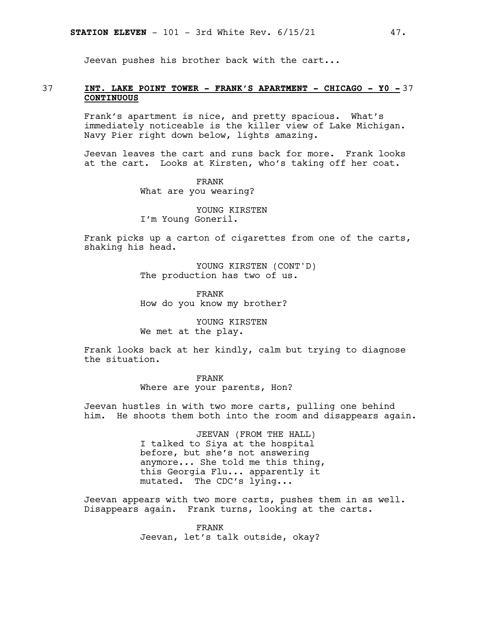Jeevan pushes his brother back with the cart...

# 37 **INT. LAKE POINT TOWER - FRANK'S APARTMENT - CHICAGO - Y0 -** 37 **CONTINUOUS**

Frank's apartment is nice, and pretty spacious. What's immediately noticeable is the killer view of Lake Michigan. Navy Pier right down below, lights amazing.

Jeevan leaves the cart and runs back for more. Frank looks at the cart. Looks at Kirsten, who's taking off her coat.

> FRANK What are you wearing?

YOUNG KIRSTEN I'm Young Goneril.

Frank picks up a carton of cigarettes from one of the carts, shaking his head.

> YOUNG KIRSTEN (CONT'D) The production has two of us.

FRANK How do you know my brother?

YOUNG KIRSTEN We met at the play.

Frank looks back at her kindly, calm but trying to diagnose the situation.

> FRANK Where are your parents, Hon?

Jeevan hustles in with two more carts, pulling one behind him. He shoots them both into the room and disappears again.

> JEEVAN (FROM THE HALL) I talked to Siya at the hospital before, but she's not answering anymore... She told me this thing, this Georgia Flu... apparently it mutated. The CDC's lying...

Jeevan appears with two more carts, pushes them in as well. Disappears again. Frank turns, looking at the carts.

> FRANK Jeevan, let's talk outside, okay?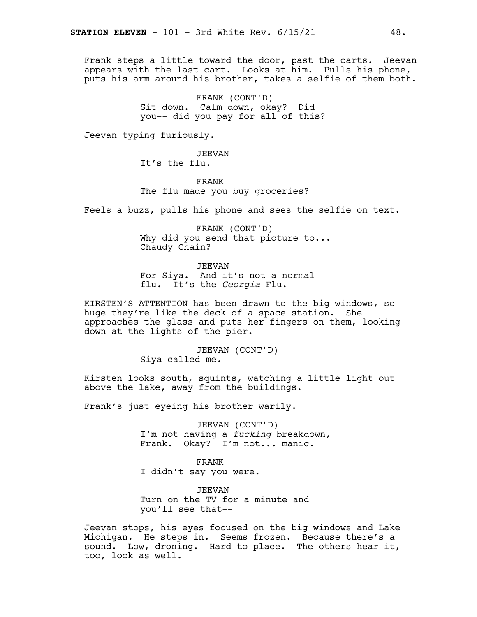Frank steps a little toward the door, past the carts. Jeevan appears with the last cart. Looks at him. Pulls his phone, puts his arm around his brother, takes a selfie of them both.

> FRANK (CONT'D) Sit down. Calm down, okay? Did you-- did you pay for all of this?

Jeevan typing furiously.

JEEVAN It's the flu.

FRANK The flu made you buy groceries?

Feels a buzz, pulls his phone and sees the selfie on text.

FRANK (CONT'D) Why did you send that picture to... Chaudy Chain?

JEEVAN For Siya. And it's not a normal flu. It's the *Georgia* Flu.

KIRSTEN'S ATTENTION has been drawn to the big windows, so huge they're like the deck of a space station. She approaches the glass and puts her fingers on them, looking down at the lights of the pier.

> JEEVAN (CONT'D) Siya called me.

Kirsten looks south, squints, watching a little light out above the lake, away from the buildings.

Frank's just eyeing his brother warily.

JEEVAN (CONT'D) I'm not having a *fucking* breakdown, Frank. Okay? I'm not... manic.

FRANK I didn't say you were.

JEEVAN Turn on the TV for a minute and you'll see that--

Jeevan stops, his eyes focused on the big windows and Lake Michigan. He steps in. Seems frozen. Because there's a sound. Low, droning. Hard to place. The others hear it, too, look as well.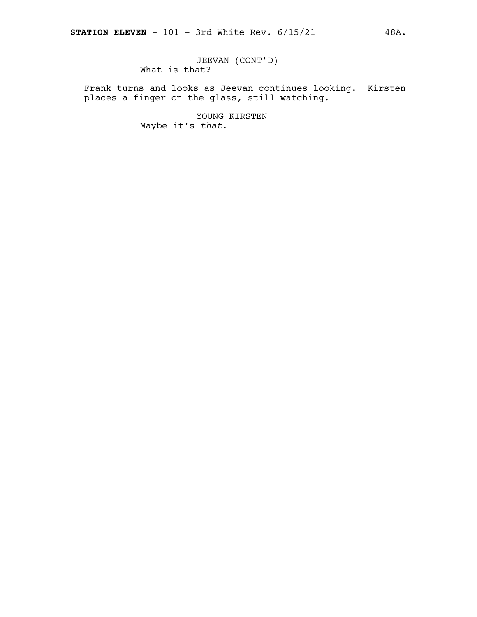Frank turns and looks as Jeevan continues looking. Kirsten places a finger on the glass, still watching.

> YOUNG KIRSTEN Maybe it's *that*.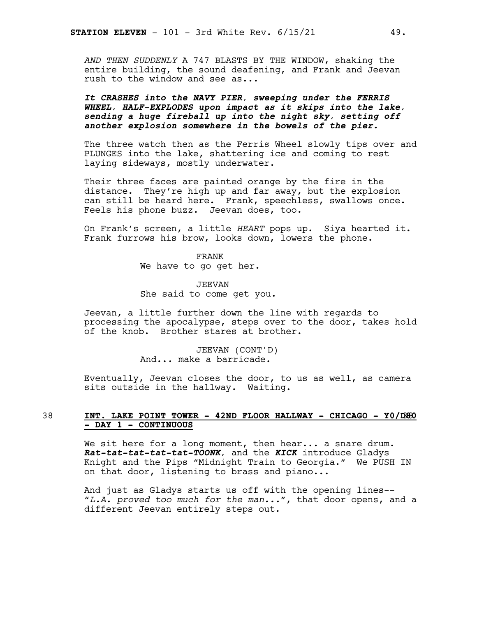*AND THEN SUDDENLY* A 747 BLASTS BY THE WINDOW, shaking the entire building, the sound deafening, and Frank and Jeevan rush to the window and see as...

*It CRASHES into the NAVY PIER, sweeping under the FERRIS WHEEL, HALF-EXPLODES upon impact as it skips into the lake, sending a huge fireball up into the night sky, setting off another explosion somewhere in the bowels of the pier.*

The three watch then as the Ferris Wheel slowly tips over and PLUNGES into the lake, shattering ice and coming to rest laying sideways, mostly underwater.

Their three faces are painted orange by the fire in the distance. They're high up and far away, but the explosion can still be heard here. Frank, speechless, swallows once. Feels his phone buzz. Jeevan does, too.

On Frank's screen, a little *HEART* pops up. Siya hearted it. Frank furrows his brow, looks down, lowers the phone.

> FRANK We have to go get her.

JEEVAN She said to come get you.

Jeevan, a little further down the line with regards to processing the apocalypse, steps over to the door, takes hold of the knob. Brother stares at brother.

> JEEVAN (CONT'D) And... make a barricade.

Eventually, Jeevan closes the door, to us as well, as camera sits outside in the hallway. Waiting.

#### 38 **INT. LAKE POINT TOWER - 42ND FLOOR HALLWAY - CHICAGO - Y0/D**38**80 - DAY 1 - CONTINUOUS**

We sit here for a long moment, then hear... a snare drum. *Rat-tat-tat-tat-tat-TOONK,* and the *KICK* introduce Gladys Knight and the Pips "Midnight Train to Georgia." We PUSH IN on that door, listening to brass and piano...

And just as Gladys starts us off with the opening lines-- "*L.A. proved too much for the man...*", that door opens, and a different Jeevan entirely steps out.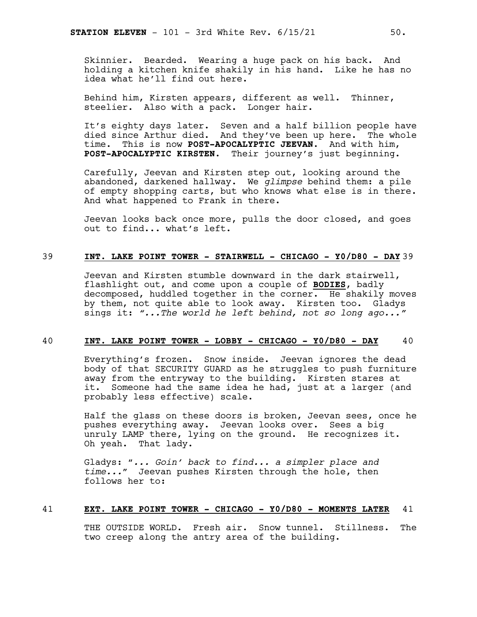Skinnier. Bearded. Wearing a huge pack on his back. And holding a kitchen knife shakily in his hand. Like he has no idea what he'll find out here.

Behind him, Kirsten appears, different as well. Thinner, steelier. Also with a pack. Longer hair.

It's eighty days later. Seven and a half billion people have died since Arthur died. And they've been up here. The whole time. This is now **POST-APOCALYPTIC JEEVAN**. And with him, **POST-APOCALYPTIC KIRSTEN**. Their journey's just beginning.

Carefully, Jeevan and Kirsten step out, looking around the abandoned, darkened hallway. We *glimpse* behind them: a pile of empty shopping carts, but who knows what else is in there. And what happened to Frank in there.

Jeevan looks back once more, pulls the door closed, and goes out to find... what's left.

# 39 **INT. LAKE POINT TOWER - STAIRWELL - CHICAGO - Y0/D80 - DAY** 39

Jeevan and Kirsten stumble downward in the dark stairwell, flashlight out, and come upon a couple of **BODIES**, badly decomposed, huddled together in the corner. He shakily moves by them, not quite able to look away. Kirsten too. Gladys sings it: *"...The world he left behind, not so long ago..."*

# 40 **INT. LAKE POINT TOWER - LOBBY - CHICAGO - Y0/D80 - DAY** 40

Everything's frozen. Snow inside. Jeevan ignores the dead body of that SECURITY GUARD as he struggles to push furniture away from the entryway to the building. Kirsten stares at it. Someone had the same idea he had, just at a larger (and probably less effective) scale.

Half the glass on these doors is broken, Jeevan sees, once he pushes everything away. Jeevan looks over. Sees a big unruly LAMP there, lying on the ground. He recognizes it. Oh yeah. That lady.

Gladys: "*... Goin' back to find... a simpler place and time...*" Jeevan pushes Kirsten through the hole, then follows her to:

#### 41 **EXT. LAKE POINT TOWER - CHICAGO - Y0/D80 - MOMENTS LATER** 41

THE OUTSIDE WORLD. Fresh air. Snow tunnel. Stillness. The two creep along the antry area of the building.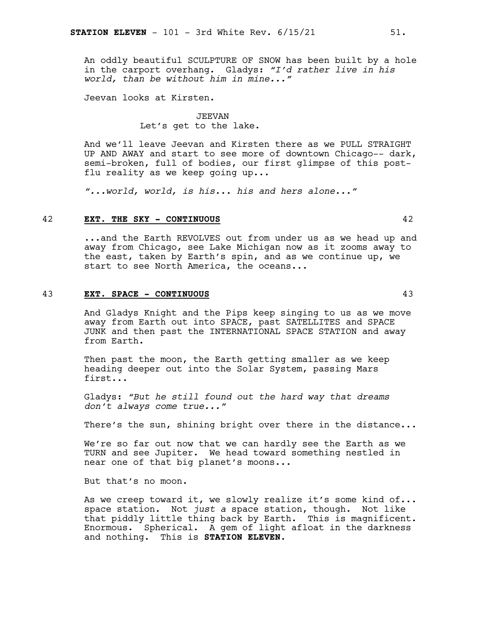An oddly beautiful SCULPTURE OF SNOW has been built by a hole in the carport overhang. Gladys: *"I'd rather live in his world, than be without him in mine..."*

Jeevan looks at Kirsten.

## JEEVAN Let's get to the lake.

And we'll leave Jeevan and Kirsten there as we PULL STRAIGHT UP AND AWAY and start to see more of downtown Chicago-- dark, semi-broken, full of bodies, our first glimpse of this postflu reality as we keep going up...

*"...world, world, is his... his and hers alone..."*

# 42 **EXT. THE SKY - CONTINUOUS** 42

...and the Earth REVOLVES out from under us as we head up and away from Chicago, see Lake Michigan now as it zooms away to the east, taken by Earth's spin, and as we continue up, we start to see North America, the oceans...

#### 43 **EXT. SPACE - CONTINUOUS** 43

And Gladys Knight and the Pips keep singing to us as we move away from Earth out into SPACE, past SATELLITES and SPACE JUNK and then past the INTERNATIONAL SPACE STATION and away from Earth.

Then past the moon, the Earth getting smaller as we keep heading deeper out into the Solar System, passing Mars first...

Gladys: *"But he still found out the hard way that dreams don't always come true..."*

There's the sun, shining bright over there in the distance...

We're so far out now that we can hardly see the Earth as we TURN and see Jupiter. We head toward something nestled in near one of that big planet's moons...

But that's no moon.

As we creep toward it, we slowly realize it's some kind of... space station. Not *just a* space station, though. Not like that piddly little thing back by Earth. This is magnificent. Enormous. Spherical. A gem of light afloat in the darkness and nothing. This is **STATION ELEVEN**.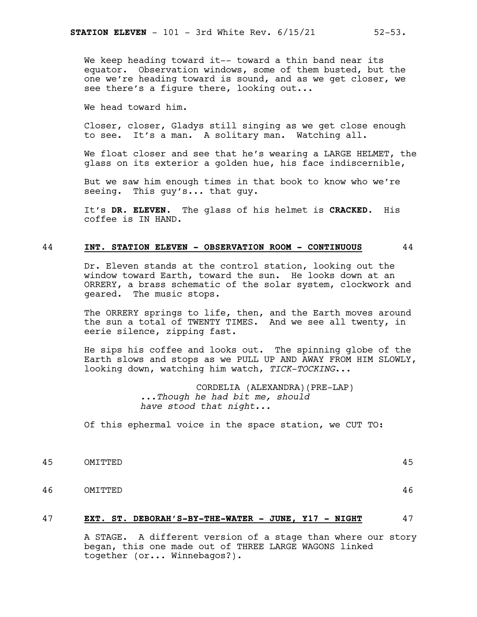We head toward him.

Closer, closer, Gladys still singing as we get close enough to see. It's a man. A solitary man. Watching all.

We float closer and see that he's wearing a LARGE HELMET, the glass on its exterior a golden hue, his face indiscernible,

But we saw him enough times in that book to know who we're seeing. This guy's... that guy.

It's **DR. ELEVEN**. The glass of his helmet is **CRACKED**. His coffee is IN HAND.

#### 44 **INT. STATION ELEVEN - OBSERVATION ROOM - CONTINUOUS** 44

Dr. Eleven stands at the control station, looking out the window toward Earth, toward the sun. He looks down at an ORRERY, a brass schematic of the solar system, clockwork and geared. The music stops.

The ORRERY springs to life, then, and the Earth moves around the sun a total of TWENTY TIMES. And we see all twenty, in eerie silence, zipping fast.

He sips his coffee and looks out. The spinning globe of the Earth slows and stops as we PULL UP AND AWAY FROM HIM SLOWLY, looking down, watching him watch, *TICK-TOCKING*...

> CORDELIA (ALEXANDRA)(PRE-LAP) *...Though he had bit me, should have stood that night...*

Of this ephermal voice in the space station, we CUT TO:

- 45 OMITTED 45
- 46 OMITTED 46

#### 47 **EXT. ST. DEBORAH'S-BY-THE-WATER - JUNE, Y17 - NIGHT** 47

A STAGE. A different version of a stage than where our story began, this one made out of THREE LARGE WAGONS linked together (or... Winnebagos?).